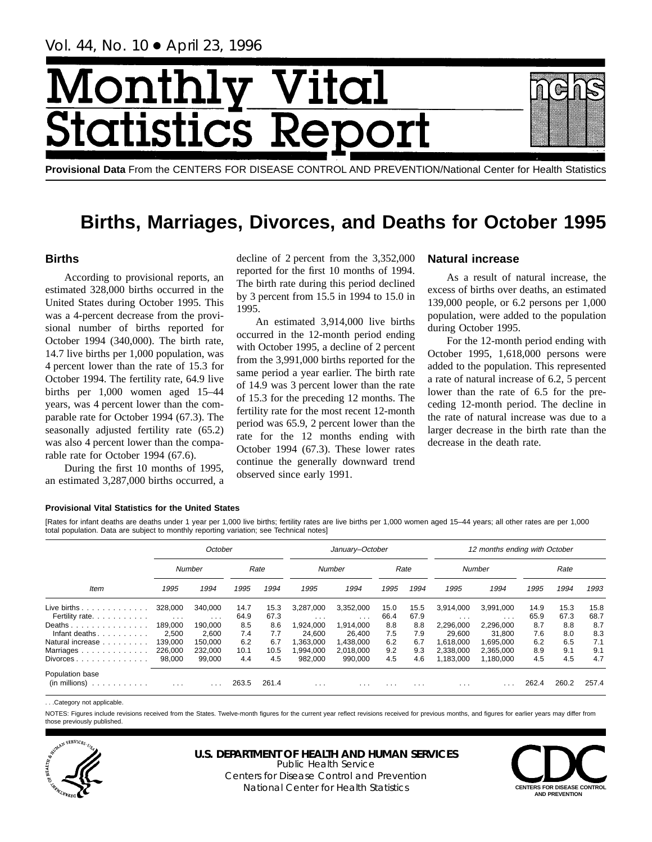Vol. 44, No. 10 ● April 23, 1996

# Month Vital tics R tatist

**Provisional Data** From the CENTERS FOR DISEASE CONTROL AND PREVENTION/National Center for Health Statistics

# **Births, Marriages, Divorces, and Deaths for October 1995**

# **Births**

According to provisional reports, an estimated 328,000 births occurred in the United States during October 1995. This was a 4-percent decrease from the provisional number of births reported for October 1994 (340,000). The birth rate, 14.7 live births per 1,000 population, was 4 percent lower than the rate of 15.3 for October 1994. The fertility rate, 64.9 live births per 1,000 women aged 15–44 years, was 4 percent lower than the comparable rate for October 1994 (67.3). The seasonally adjusted fertility rate (65.2) was also 4 percent lower than the comparable rate for October 1994 (67.6).

During the first 10 months of 1995, an estimated 3,287,000 births occurred, a

decline of 2 percent from the 3,352,000 reported for the first 10 months of 1994. The birth rate during this period declined by 3 percent from 15.5 in 1994 to 15.0 in 1995.

An estimated 3,914,000 live births occurred in the 12-month period ending with October 1995, a decline of 2 percent from the 3,991,000 births reported for the same period a year earlier. The birth rate of 14.9 was 3 percent lower than the rate of 15.3 for the preceding 12 months. The fertility rate for the most recent 12-month period was 65.9, 2 percent lower than the rate for the 12 months ending with October 1994 (67.3). These lower rates continue the generally downward trend observed since early 1991.

# **Natural increase**

As a result of natural increase, the excess of births over deaths, an estimated 139,000 people, or 6.2 persons per 1,000 population, were added to the population during October 1995.

For the 12-month period ending with October 1995, 1,618,000 persons were added to the population. This represented a rate of natural increase of 6.2, 5 percent lower than the rate of 6.5 for the preceding 12-month period. The decline in the rate of natural increase was due to a larger decrease in the birth rate than the decrease in the death rate.

### **Provisional Vital Statistics for the United States**

[Rates for infant deaths are deaths under 1 year per 1,000 live births; fertility rates are live births per 1,000 women aged 15–44 years; all other rates are per 1,000 total population. Data are subject to monthly reporting variation; see Technical notes]

|                                                         |                                    | October             |              |              |                       | January-October         |              |              | 12 months ending with October |                                      |              |              |              |
|---------------------------------------------------------|------------------------------------|---------------------|--------------|--------------|-----------------------|-------------------------|--------------|--------------|-------------------------------|--------------------------------------|--------------|--------------|--------------|
|                                                         |                                    | Number              |              | Rate         |                       | Number                  |              | Rate         |                               | Number                               |              | Rate         |              |
| Item                                                    | 1995                               | 1994                | 1995         | 1994         | 1995                  | 1994                    | 1995         | 1994         | 1995                          | 1994                                 | 1995         | 1994         | 1993         |
| Live births $\ldots$<br>Fertility rate.                 | 328,000<br>$\sim 100$ km s $^{-1}$ | 340,000<br>$\cdots$ | 14.7<br>64.9 | 15.3<br>67.3 | 3.287.000<br>$\cdots$ | 3,352,000<br>$\cdots$   | 15.0<br>66.4 | 15.5<br>67.9 | 3.914.000<br>$\cdots$         | 3,991,000<br>$\cdot$ $\cdot$ $\cdot$ | 14.9<br>65.9 | 15.3<br>67.3 | 15.8<br>68.7 |
| Deaths<br>Infant deaths.<br>.                           | 189.000<br>2.500                   | 190.000<br>2.600    | 8.5<br>7.4   | 8.6<br>7.7   | 1.924.000<br>24.600   | 1.914.000<br>26.400     | 8.8<br>7.5   | 8.8<br>7.9   | 2,296,000<br>29.600           | 2,296,000<br>31.800                  | 8.7<br>7.6   | 8.8<br>8.0   | 8.7<br>8.3   |
| Natural increase<br>Marriages                           | 139.000<br>226,000                 | 150.000<br>232.000  | 6.2<br>10.1  | 6.7<br>10.5  | .363.000<br>,994,000  | 1,438,000<br>2,018,000  | 6.2<br>9.2   | 6.7<br>9.3   | 1.618.000<br>2,338,000        | 1.695.000<br>2,365,000               | 6.2<br>8.9   | 6.5<br>9.1   | 7.1<br>9.1   |
| $Divorces \dots \dots \dots \dots \dots$                | 98.000                             | 99.000              | 4.4          | 4.5          | 982.000               | 990.000                 | 4.5          | 4.6          | 1.183.000                     | 1.180.000                            | 4.5          | 4.5          | 4.7          |
| Population base<br>$(in$ millions $) \dots \dots \dots$ | $\cdot$ $\cdot$ $\cdot$            | .                   | 263.5        | 261.4        | $\cdots$              | $\cdot$ $\cdot$ $\cdot$ | $\cdots$     | $\cdots$     | $\cdots$                      |                                      | 262.4        | 260.2        | 257.4        |

. . .Category not applicable.

NOTES: Figures include revisions received from the States. Twelve-month figures for the current year reflect revisions received for previous months, and figures for earlier years may differ from those previously published.



**U.S. DEPARTMENT OF HEALTH AND HUMAN SERVICES**

Public Health Service Centers for Disease Control and Prevention National Center for Health Statistics **CENTERS FOR DISEASE CONTROL**

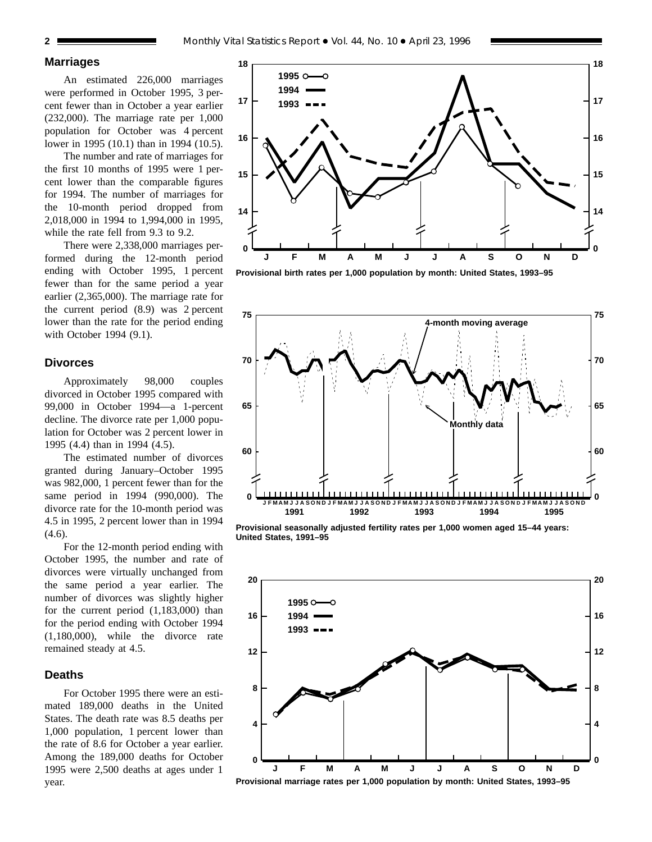### **Marriages**

An estimated 226,000 marriages were performed in October 1995, 3 percent fewer than in October a year earlier (232,000). The marriage rate per 1,000 population for October was 4 percent lower in 1995 (10.1) than in 1994 (10.5).

The number and rate of marriages for the first 10 months of 1995 were 1 percent lower than the comparable figures for 1994. The number of marriages for the 10-month period dropped from 2,018,000 in 1994 to 1,994,000 in 1995, while the rate fell from 9.3 to 9.2.

There were 2,338,000 marriages performed during the 12-month period ending with October 1995, 1 percent fewer than for the same period a year earlier (2,365,000). The marriage rate for the current period (8.9) was 2 percent lower than the rate for the period ending with October 1994 (9.1).

# **Divorces**

Approximately 98,000 couples divorced in October 1995 compared with 99,000 in October 1994—a 1-percent decline. The divorce rate per 1,000 population for October was 2 percent lower in 1995 (4.4) than in 1994 (4.5).

The estimated number of divorces granted during January–October 1995 was 982,000, 1 percent fewer than for the same period in 1994 (990,000). The divorce rate for the 10-month period was 4.5 in 1995, 2 percent lower than in 1994 (4.6).

For the 12-month period ending with October 1995, the number and rate of divorces were virtually unchanged from the same period a year earlier. The number of divorces was slightly higher for the current period (1,183,000) than for the period ending with October 1994 (1,180,000), while the divorce rate remained steady at 4.5.

# **Deaths**

For October 1995 there were an estimated 189,000 deaths in the United States. The death rate was 8.5 deaths per 1,000 population, 1 percent lower than the rate of 8.6 for October a year earlier. Among the 189,000 deaths for October 1995 were 2,500 deaths at ages under 1 year.



**Provisional birth rates per 1,000 population by month: United States, 1993–95**



**Provisional seasonally adjusted fertility rates per 1,000 women aged 15–44 years: United States, 1991–95**



**Provisional marriage rates per 1,000 population by month: United States, 1993–95**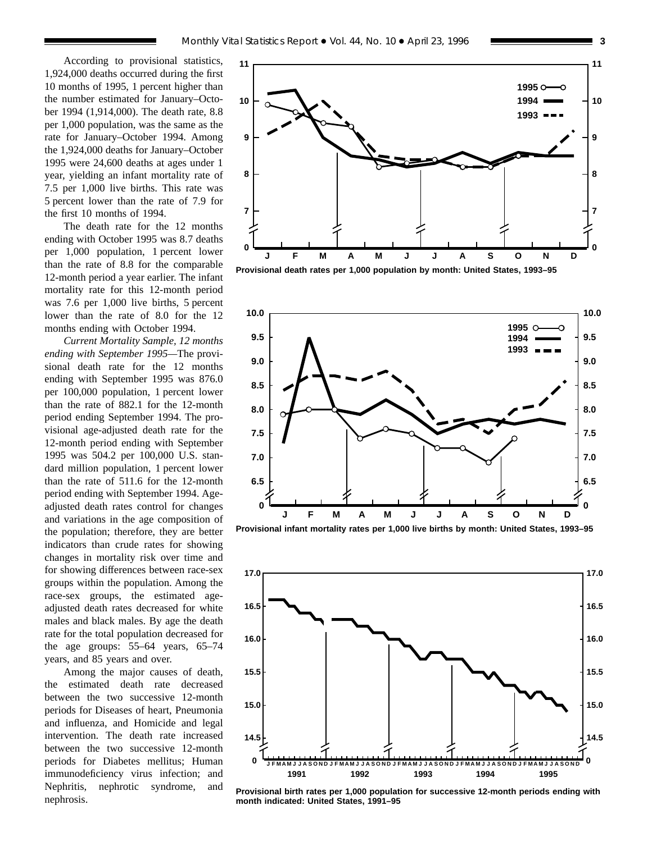According to provisional statistics, 1,924,000 deaths occurred during the first 10 months of 1995, 1 percent higher than the number estimated for January–October 1994 (1,914,000). The death rate, 8.8 per 1,000 population, was the same as the rate for January–October 1994. Among the 1,924,000 deaths for January–October 1995 were 24,600 deaths at ages under 1 year, yielding an infant mortality rate of 7.5 per 1,000 live births. This rate was 5 percent lower than the rate of 7.9 for the first 10 months of 1994.

The death rate for the 12 months ending with October 1995 was 8.7 deaths per 1,000 population, 1 percent lower than the rate of 8.8 for the comparable 12-month period a year earlier. The infant mortality rate for this 12-month period was 7.6 per 1,000 live births, 5 percent lower than the rate of 8.0 for the 12 months ending with October 1994.

*Current Mortality Sample, 12 months ending with September 1995—*The provisional death rate for the 12 months ending with September 1995 was 876.0 per 100,000 population, 1 percent lower than the rate of 882.1 for the 12-month period ending September 1994. The provisional age-adjusted death rate for the 12-month period ending with September 1995 was 504.2 per 100,000 U.S. standard million population, 1 percent lower than the rate of 511.6 for the 12-month period ending with September 1994. Ageadjusted death rates control for changes and variations in the age composition of the population; therefore, they are better indicators than crude rates for showing changes in mortality risk over time and for showing differences between race-sex groups within the population. Among the race-sex groups, the estimated ageadjusted death rates decreased for white males and black males. By age the death rate for the total population decreased for the age groups: 55–64 years, 65–74 years, and 85 years and over.

Among the major causes of death, the estimated death rate decreased between the two successive 12-month periods for Diseases of heart, Pneumonia and influenza, and Homicide and legal intervention. The death rate increased between the two successive 12-month periods for Diabetes mellitus; Human immunodeficiency virus infection; and Nephritis, nephrotic syndrome, and nephrosis.



**Provisional death rates per 1,000 population by month: United States, 1993–95**



**Provisional infant mortality rates per 1,000 live births by month: United States, 1993–95**



**Provisional birth rates per 1,000 population for successive 12-month periods ending with month indicated: United States, 1991–95**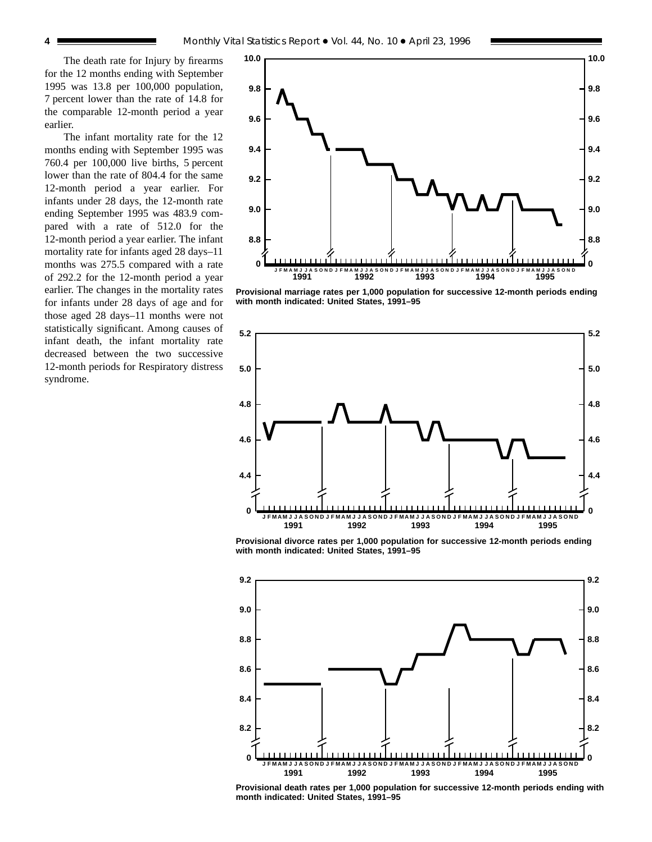The death rate for Injury by firearms for the 12 months ending with September 1995 was 13.8 per 100,000 population, 7 percent lower than the rate of 14.8 for the comparable 12-month period a year earlier.

The infant mortality rate for the 12 months ending with September 1995 was 760.4 per 100,000 live births, 5 percent lower than the rate of 804.4 for the same 12-month period a year earlier. For infants under 28 days, the 12-month rate ending September 1995 was 483.9 compared with a rate of 512.0 for the 12-month period a year earlier. The infant mortality rate for infants aged 28 days–11 months was 275.5 compared with a rate of 292.2 for the 12-month period a year earlier. The changes in the mortality rates for infants under 28 days of age and for those aged 28 days–11 months were not statistically significant. Among causes of infant death, the infant mortality rate decreased between the two successive 12-month periods for Respiratory distress syndrome.



**Provisional marriage rates per 1,000 population for successive 12-month periods ending with month indicated: United States, 1991–95**



**Provisional divorce rates per 1,000 population for successive 12-month periods ending with month indicated: United States, 1991–95**



**Provisional death rates per 1,000 population for successive 12-month periods ending with month indicated: United States, 1991–95**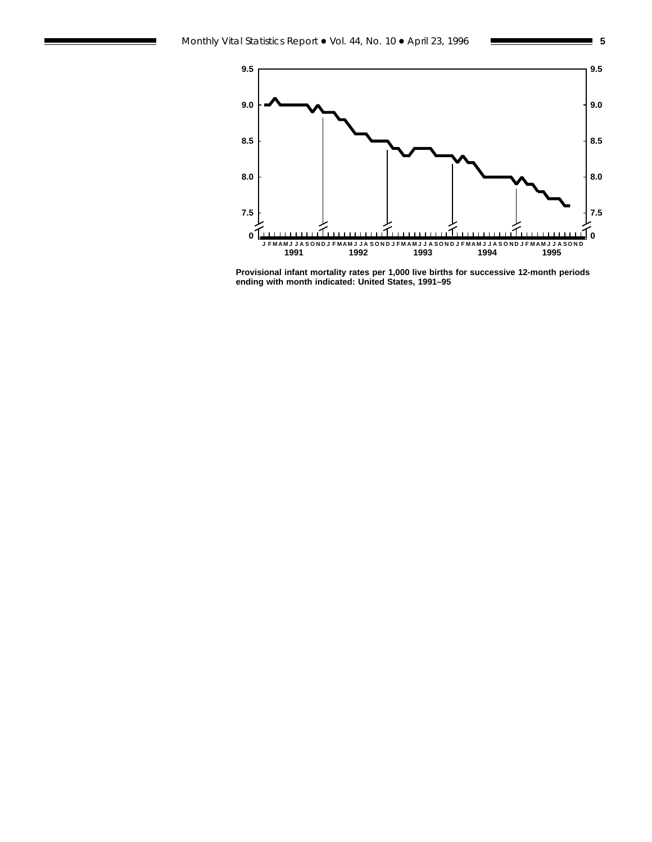

**Provisional infant mortality rates per 1,000 live births for successive 12-month periods ending with month indicated: United States, 1991–95**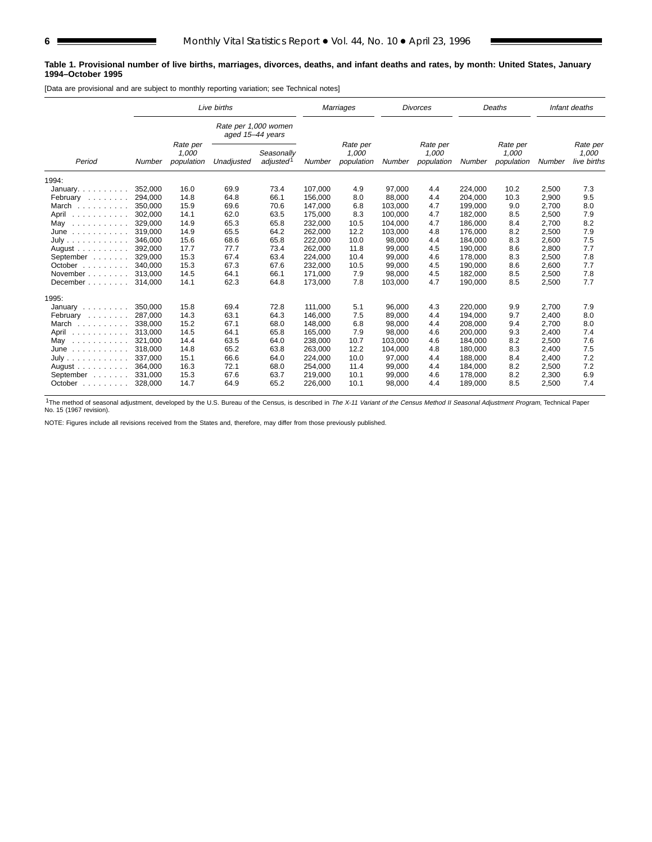#### **Table 1. Provisional number of live births, marriages, divorces, deaths, and infant deaths and rates, by month: United States, January 1994–October 1995**

[Data are provisional and are subject to monthly reporting variation; see Technical notes]

|                                                  | Live births |                                 |                                          |                        | Marriages |                                 | <b>Divorces</b> |                                 | Deaths  |                                 | Infant deaths |                                  |
|--------------------------------------------------|-------------|---------------------------------|------------------------------------------|------------------------|-----------|---------------------------------|-----------------|---------------------------------|---------|---------------------------------|---------------|----------------------------------|
|                                                  |             |                                 | Rate per 1,000 women<br>aged 15-44 years |                        |           |                                 |                 |                                 |         |                                 |               |                                  |
| Period                                           | Number      | Rate per<br>1,000<br>population | Unadjusted                               | Seasonally<br>adjusted | Number    | Rate per<br>1,000<br>population | Number          | Rate per<br>1,000<br>population | Number  | Rate per<br>1,000<br>population | Number        | Rate per<br>1,000<br>live births |
| 1994:                                            |             |                                 |                                          |                        |           |                                 |                 |                                 |         |                                 |               |                                  |
| January.                                         | 352.000     | 16.0                            | 69.9                                     | 73.4                   | 107.000   | 4.9                             | 97,000          | 4.4                             | 224.000 | 10.2                            | 2,500         | 7.3                              |
| February                                         | 294,000     | 14.8                            | 64.8                                     | 66.1                   | 156,000   | 8.0                             | 88,000          | 4.4                             | 204,000 | 10.3                            | 2,900         | 9.5                              |
| March                                            | 350.000     | 15.9                            | 69.6                                     | 70.6                   | 147,000   | 6.8                             | 103,000         | 4.7                             | 199,000 | 9.0                             | 2,700         | 8.0                              |
| April<br>.                                       | 302,000     | 14.1                            | 62.0                                     | 63.5                   | 175,000   | 8.3                             | 100,000         | 4.7                             | 182,000 | 8.5                             | 2,500         | 7.9                              |
| May<br>.                                         | 329,000     | 14.9                            | 65.3                                     | 65.8                   | 232,000   | 10.5                            | 104,000         | 4.7                             | 186,000 | 8.4                             | 2,700         | 8.2                              |
| June<br>$\mathcal{L}$ . The second second second | 319.000     | 14.9                            | 65.5                                     | 64.2                   | 262,000   | 12.2                            | 103,000         | 4.8                             | 176.000 | 8.2                             | 2,500         | 7.9                              |
| July                                             | 346,000     | 15.6                            | 68.6                                     | 65.8                   | 222,000   | 10.0                            | 98,000          | 4.4                             | 184,000 | 8.3                             | 2,600         | 7.5                              |
| August                                           | 392.000     | 17.7                            | 77.7                                     | 73.4                   | 262,000   | 11.8                            | 99,000          | 4.5                             | 190.000 | 8.6                             | 2,800         | 7.7                              |
| September                                        | 329,000     | 15.3                            | 67.4                                     | 63.4                   | 224,000   | 10.4                            | 99,000          | 4.6                             | 178,000 | 8.3                             | 2,500         | 7.8                              |
| October $\ldots$ , $\ldots$                      | 340.000     | 15.3                            | 67.3                                     | 67.6                   | 232,000   | 10.5                            | 99,000          | 4.5                             | 190.000 | 8.6                             | 2,600         | 7.7                              |
| November                                         | 313.000     | 14.5                            | 64.1                                     | 66.1                   | 171,000   | 7.9                             | 98,000          | 4.5                             | 182,000 | 8.5                             | 2,500         | 7.8                              |
| December                                         | 314,000     | 14.1                            | 62.3                                     | 64.8                   | 173,000   | 7.8                             | 103,000         | 4.7                             | 190,000 | 8.5                             | 2,500         | 7.7                              |
| 1995:                                            |             |                                 |                                          |                        |           |                                 |                 |                                 |         |                                 |               |                                  |
| January                                          | 350.000     | 15.8                            | 69.4                                     | 72.8                   | 111.000   | 5.1                             | 96,000          | 4.3                             | 220,000 | 9.9                             | 2,700         | 7.9                              |
| February                                         | 287.000     | 14.3                            | 63.1                                     | 64.3                   | 146.000   | 7.5                             | 89,000          | 4.4                             | 194.000 | 9.7                             | 2,400         | 8.0                              |
| March                                            | 338,000     | 15.2                            | 67.1                                     | 68.0                   | 148,000   | 6.8                             | 98,000          | 4.4                             | 208,000 | 9.4                             | 2,700         | 8.0                              |
| April<br>.                                       | 313,000     | 14.5                            | 64.1                                     | 65.8                   | 165,000   | 7.9                             | 98,000          | 4.6                             | 200,000 | 9.3                             | 2,400         | 7.4                              |
| May<br>.                                         | 321,000     | 14.4                            | 63.5                                     | 64.0                   | 238,000   | 10.7                            | 103,000         | 4.6                             | 184,000 | 8.2                             | 2,500         | 7.6                              |
| June<br>.                                        | 318,000     | 14.8                            | 65.2                                     | 63.8                   | 263,000   | 12.2                            | 104,000         | 4.8                             | 180,000 | 8.3                             | 2,400         | 7.5                              |
| July                                             | 337,000     | 15.1                            | 66.6                                     | 64.0                   | 224,000   | 10.0                            | 97,000          | 4.4                             | 188,000 | 8.4                             | 2,400         | 7.2                              |
| August $\ldots$ , $\ldots$ , $\ldots$            | 364.000     | 16.3                            | 72.1                                     | 68.0                   | 254,000   | 11.4                            | 99,000          | 4.4                             | 184,000 | 8.2                             | 2,500         | 7.2                              |
| September                                        | 331.000     | 15.3                            | 67.6                                     | 63.7                   | 219,000   | 10.1                            | 99,000          | 4.6                             | 178,000 | 8.2                             | 2,300         | 6.9                              |
| October                                          | 328,000     | 14.7                            | 64.9                                     | 65.2                   | 226,000   | 10.1                            | 98,000          | 4.4                             | 189,000 | 8.5                             | 2,500         | 7.4                              |

<sup>1</sup>The method of seasonal adjustment, developed by the U.S. Bureau of the Census, is described in The X-11 Variant of the Census Method II Seasonal Adjustment Program, Technical Paper<br>No. 15 (1967 revision).

NOTE: Figures include all revisions received from the States and, therefore, may differ from those previously published.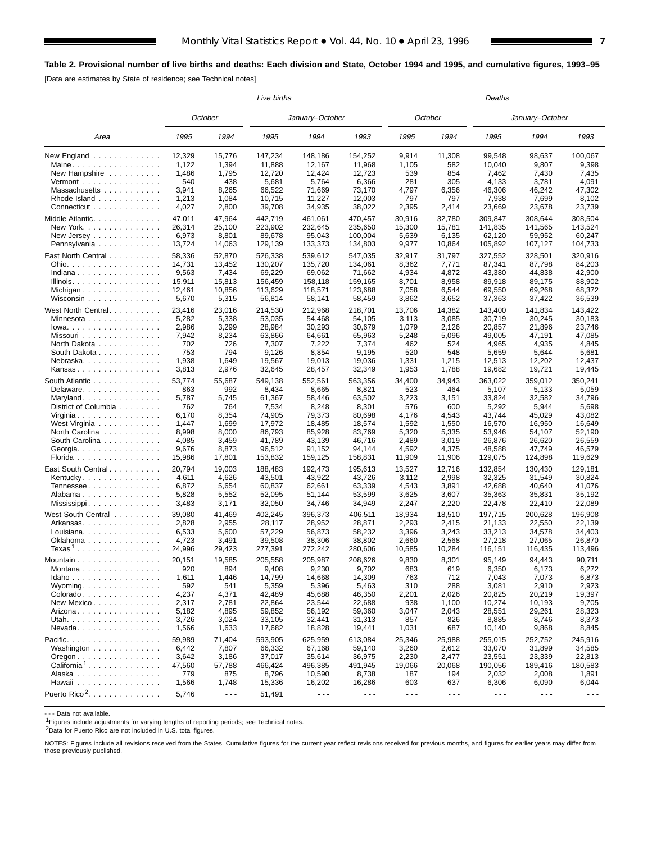# **Table 2. Provisional number of live births and deaths: Each division and State, October 1994 and 1995, and cumulative figures, 1993–95**

[Data are estimates by State of residence; see Technical notes]

|                                                    | Live births |                      |         |                      |                      |                      | Deaths               |                      |                      |                      |  |  |  |  |
|----------------------------------------------------|-------------|----------------------|---------|----------------------|----------------------|----------------------|----------------------|----------------------|----------------------|----------------------|--|--|--|--|
|                                                    |             | October              |         | January-October      |                      |                      | October              |                      | January-October      |                      |  |  |  |  |
| Area                                               | 1995        | 1994                 | 1995    | 1994                 | 1993                 | 1995                 | 1994                 | 1995                 | 1994                 | 1993                 |  |  |  |  |
| New England                                        | 12,329      | 15,776               | 147,234 | 148,186              | 154,252              | 9,914                | 11,308               | 99,548               | 98,637               | 100,067              |  |  |  |  |
| Maine                                              | 1,122       | 1,394                | 11,888  | 12,167               | 11,968               | 1,105                | 582                  | 10,040               | 9,807                | 9,398                |  |  |  |  |
| New Hampshire                                      | 1,486       | 1,795                | 12,720  | 12,424               | 12,723               | 539                  | 854                  | 7,462                | 7,430                | 7,435                |  |  |  |  |
| Vermont $\dots\dots\dots\dots\dots\dots$           | 540         | 438                  | 5,681   | 5,764                | 6,366                | 281                  | 305                  | 4,133                | 3,781                | 4,091                |  |  |  |  |
| Massachusetts                                      | 3,941       | 8,265                | 66,522  | 71,669               | 73,170               | 4,797                | 6,356                | 46,306               | 46,242               | 47,302               |  |  |  |  |
| Rhode Island                                       | 1,213       | 1,084                | 10,715  | 11,227               | 12,003               | 797                  | 797                  | 7,938                | 7,699                | 8,102                |  |  |  |  |
| Connecticut                                        | 4,027       | 2,800                | 39,708  | 34,935               | 38,022               | 2,395                | 2,414                | 23,669               | 23,678               | 23,739               |  |  |  |  |
| Middle Atlantic                                    | 47,011      | 47,964               | 442,719 | 461,061              | 470,457              | 30,916               | 32,780               | 309,847              | 308,644              | 308,504              |  |  |  |  |
| New York.                                          | 26,314      | 25,100               | 223,902 | 232,645              | 235,650              | 15,300               | 15,781               | 141,835              | 141,565              | 143,524              |  |  |  |  |
| New Jersey                                         | 6,973       | 8,801                | 89,678  | 95,043               | 100,004              | 5,639                | 6,135                | 62,120               | 59,952               | 60,247               |  |  |  |  |
| Pennsylvania                                       | 13,724      | 14,063               | 129,139 | 133,373              | 134,803              | 9,977                | 10,864               | 105,892              | 107,127              | 104,733              |  |  |  |  |
| East North Central                                 | 58,336      | 52,870               | 526,338 | 539,612              | 547,035              | 32,917               | 31,797               | 327,552              | 328,501              | 320,916              |  |  |  |  |
| Ohio.                                              | 14,731      | 13,452               | 130,207 | 135,720              | 134,061              | 8,362                | 7,771                | 87,341               | 87,798               | 84,203               |  |  |  |  |
| Indiana                                            | 9,563       | 7,434                | 69,229  | 69,062               | 71,662               | 4,934                | 4,872                | 43,380               | 44,838               | 42,900               |  |  |  |  |
| Illinois.                                          | 15,911      | 15,813               | 156,459 | 158,118              | 159,165              | 8,701                | 8,958                | 89,918               | 89,175               | 88,902               |  |  |  |  |
| Michigan                                           | 12,461      | 10,856               | 113,629 | 118,571              | 123,688              | 7,058                | 6,544                | 69,550               | 69,268               | 68,372               |  |  |  |  |
| Wisconsin                                          | 5,670       | 5,315                | 56,814  | 58,141               | 58,459               | 3,862                | 3,652                | 37,363               | 37,422               | 36,539               |  |  |  |  |
| West North Central.                                | 23,416      | 23,016               | 214,530 | 212,968              | 218,701              | 13,706               | 14,382               | 143.400              | 141,834              | 143,422              |  |  |  |  |
| Minnesota                                          | 5,282       | 5,338                | 53,035  | 54,468               | 54,105               | 3,113                | 3,085                | 30,719               | 30,245               | 30,183               |  |  |  |  |
| $lowa.$                                            | 2,986       | 3,299                | 28,984  | 30,293               | 30,679               | 1,079                | 2,126                | 20,857               | 21,896               | 23,746               |  |  |  |  |
| Missouri                                           | 7,942       | 8,234                | 63,866  | 64,661               | 65,963               | 5,248                | 5,096                | 49,005               | 47,191               | 47,085               |  |  |  |  |
| North Dakota                                       | 702         | 726                  | 7,307   | 7,222                | 7,374                | 462                  | 524                  | 4,965                | 4,935                | 4,845                |  |  |  |  |
| South Dakota                                       | 753         | 794                  | 9,126   | 8,854                | 9,195                | 520                  | 548                  | 5,659                | 5,644                | 5,681                |  |  |  |  |
| Nebraska                                           | 1,938       | 1,649                | 19,567  | 19,013               | 19,036               | 1,331                | 1,215                | 12,513               | 12,202               | 12,437               |  |  |  |  |
| Kansas                                             | 3,813       | 2,976                | 32,645  | 28,457               | 32,349               | 1,953                | 1,788                | 19,682               | 19,721               | 19,445               |  |  |  |  |
| South Atlantic                                     | 53,774      | 55,687               | 549,138 | 552,561              | 563,356              | 34,400               | 34,943               | 363,022              | 359,012              | 350,241              |  |  |  |  |
| Delaware                                           | 863         | 992                  | 8,434   | 8,665                | 8,821                | 523                  | 464                  | 5,107                | 5,133                | 5,059                |  |  |  |  |
| Maryland                                           | 5,787       | 5,745                | 61,367  | 58,446               | 63,502               | 3,223                | 3,151                | 33,824               | 32,582               | 34,796               |  |  |  |  |
| District of Columbia                               | 762         | 764                  | 7,534   | 8,248                | 8,301                | 576                  | 600                  | 5,292                | 5,944                | 5,698                |  |  |  |  |
| Virginia                                           | 6,170       | 8,354                | 74,905  | 79,373               | 80,698               | 4,176                | 4,543                | 43,744               | 45,029               | 43,082               |  |  |  |  |
| West Virginia                                      | 1,447       | 1,699                | 17,972  | 18,485               | 18,574               | 1,592                | 1,550                | 16,570               | 16,950               | 16,649               |  |  |  |  |
| North Carolina                                     | 8,998       | 8,000                | 86,793  | 85,928               | 83,769               | 5,320                | 5,335                | 53,946               | 54,107               | 52,190               |  |  |  |  |
| South Carolina                                     | 4,085       | 3,459                | 41,789  | 43,139               | 46,716               | 2,489                | 3,019                | 26,876               | 26,620               | 26,559               |  |  |  |  |
| Georgia.                                           | 9,676       | 8,873                | 96,512  | 91,152               | 94,144               | 4,592                | 4,375                | 48,588               | 47,749               | 46,579               |  |  |  |  |
| Florida                                            | 15,986      | 17,801               | 153,832 | 159,125              | 158,831              | 11,909               | 11,906               | 129,075              | 124,898              | 119,629              |  |  |  |  |
| East South Central                                 | 20,794      | 19,003               | 188,483 | 192,473              | 195,613              | 13,527               | 12,716               | 132,854              | 130,430              | 129,181              |  |  |  |  |
| Kentucky                                           | 4,611       | 4,626                | 43,501  | 43,922               | 43,726               | 3,112                | 2,998                | 32,325               | 31,549               | 30,824               |  |  |  |  |
| Tennessee                                          | 6,872       | 5,654                | 60,837  | 62,661               | 63,339               | 4,543                | 3,891                | 42,688               | 40,640               | 41,076               |  |  |  |  |
| Alabama                                            | 5,828       | 5,552                | 52,095  | 51,144               | 53,599               | 3,625                | 3,607                | 35,363               | 35,831               | 35,192               |  |  |  |  |
| Mississippi                                        | 3,483       | 3,171                | 32,050  | 34,746               | 34,949               | 2,247                | 2,220                | 22,478               | 22,410               | 22,089               |  |  |  |  |
| West South Central                                 | 39,080      | 41,469               | 402,245 | 396,373              | 406,511              | 18,934               | 18,510               | 197,715              | 200,628              | 196,908              |  |  |  |  |
| Arkansas                                           | 2,828       | 2,955                | 28.117  | 28,952               | 28,871               | 2,293                | 2,415                | 21,133               | 22,550               | 22.139               |  |  |  |  |
| Louisiana                                          | 6,533       | 5,600                | 57,229  | 56,873               | 58,232               | 3,396                | 3,243                | 33,213               | 34,578               | 34,403               |  |  |  |  |
| Oklahoma                                           | 4,723       | 3,491                | 39,508  | 38,306               | 38,802               | 2,660                | 2,568                | 27,218               | 27,065               | 26,870               |  |  |  |  |
| $Texas1$                                           | 24,996      | 29,423               | 277,391 | 272,242              | 280,606              | 10,585               | 10,284               | 116,151              | 116,435              | 113,496              |  |  |  |  |
| Mountain $\ldots$ , $\ldots$ , $\ldots$ , $\ldots$ | 20,151      | 19,585               | 205,558 | 205,987              | 208,626              | 9,830                | 8,301                | 95,149               | 94,443               | 90,711               |  |  |  |  |
| Montana                                            | 920         | 894                  | 9,408   | 9,230                | 9,702                | 683                  | 619                  | 6,350                | 6,173                | 6,272                |  |  |  |  |
| Idaho                                              | 1,611       | 1,446                | 14,799  | 14,668               | 14,309               | 763                  | 712                  | 7,043                | 7,073                | 6,873                |  |  |  |  |
| Wyoming                                            | 592         | 541                  | 5,359   | 5,396                | 5,463                | 310                  | 288                  | 3,081                | 2,910                | 2,923                |  |  |  |  |
| Colorado                                           | 4,237       | 4,371                | 42,489  | 45,688               | 46,350               | 2,201                | 2,026                | 20,825               | 20,219               | 19,397               |  |  |  |  |
| New Mexico                                         | 2,317       | 2,781                | 22,864  | 23,544               | 22,688               | 938                  | 1,100                | 10,274               | 10,193               | 9,705                |  |  |  |  |
| Arizona                                            | 5,182       | 4,895                | 59,852  | 56,192               | 59,360               | 3,047                | 2,043                | 28,551               | 29,261               | 28,323               |  |  |  |  |
| Utah.                                              | 3,726       | 3,024                | 33,105  | 32,441               | 31,313               | 857                  | 826                  | 8,885                | 8,746                | 8,373                |  |  |  |  |
| $N$ evada                                          | 1,566       | 1,633                | 17,682  | 18,828               | 19,441               | 1,031                | 687                  | 10,140               | 9,868                | 8,845                |  |  |  |  |
| Pacific.                                           | 59,989      | 71,404               | 593,905 | 625,959              | 613,084              | 25,346               | 25,988               | 255,015              | 252,752              | 245,916              |  |  |  |  |
| Washington                                         | 6,442       | 7,807                | 66,332  | 67,168               | 59,140               | 3,260                | 2,612                | 33,070               | 31,899               | 34,585               |  |  |  |  |
| $O$ regon $\ldots \ldots \ldots \ldots$            | 3,642       | 3,186                | 37,017  | 35,614               | 36,975               | 2,230                | 2,477                | 23,551               | 23,339               | 22,813               |  |  |  |  |
| California <sup>1</sup>                            | 47,560      | 57,788               | 466,424 | 496,385              | 491,945              | 19,066               | 20,068               | 190,056              | 189,416              | 180,583              |  |  |  |  |
| Alaska                                             | 779         | 875                  | 8,796   | 10,590               | 8,738                | 187                  | 194                  | 2,032                | 2,008                | 1,891                |  |  |  |  |
| Hawaii                                             | 1,566       | 1,748                | 15,336  | 16,202               | 16,286               | 603                  | 637                  | 6,306                | 6,090                | 6,044                |  |  |  |  |
| Puerto Rico <sup>2</sup> .                         |             |                      |         |                      |                      |                      |                      | $\sim$ $\sim$ $\sim$ |                      |                      |  |  |  |  |
|                                                    | 5,746       | $\sim$ $\sim$ $\sim$ | 51,491  | $\sim$ $\sim$ $\sim$ | $\sim$ $\sim$ $\sim$ | $\sim$ $\sim$ $\sim$ | $\sim$ $\sim$ $\sim$ |                      | $\sim$ $\sim$ $\sim$ | $\sim$ $\sim$ $\sim$ |  |  |  |  |

- - - Data not available.

<sup>1</sup>Figures include adjustments for varying lengths of reporting periods; see Technical notes.

2Data for Puerto Rico are not included in U.S. total figures.

NOTES: Figures include all revisions received from the States. Cumulative figures for the current year reflect revisions received for previous months, and figures for earlier years may differ from those previously published.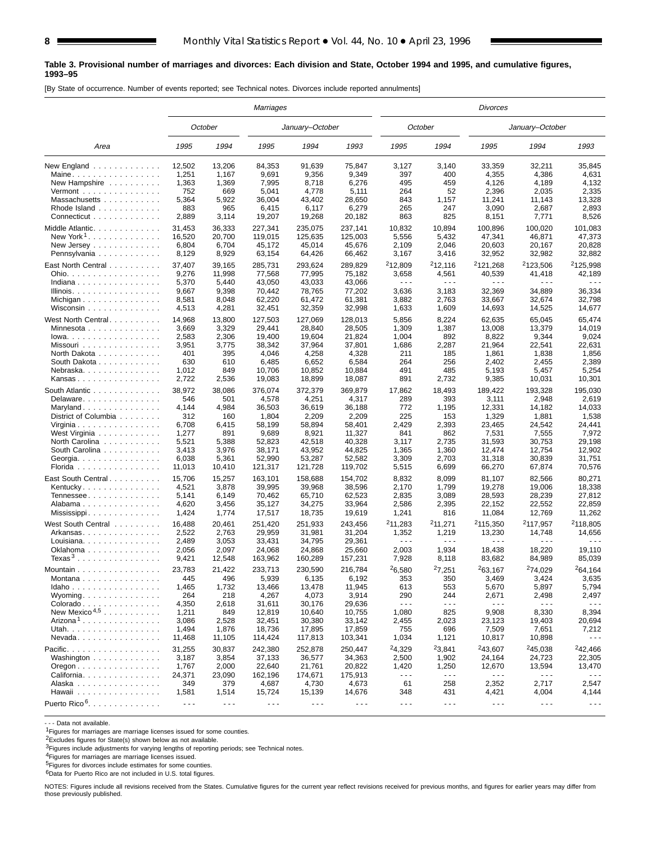#### **Table 3. Provisional number of marriages and divorces: Each division and State, October 1994 and 1995, and cumulative figures, 1993–95**

[By State of occurrence. Number of events reported; see Technical notes. Divorces include reported annulments]

|                                                   | Marriages            |                      |                   |                      |                      | <b>Divorces</b>                                                                                                                                                                                                                                                                                                                                                                              |                                                                                                                                                                                                                                                                                                                                                                                              |                      |                      |                               |  |  |  |
|---------------------------------------------------|----------------------|----------------------|-------------------|----------------------|----------------------|----------------------------------------------------------------------------------------------------------------------------------------------------------------------------------------------------------------------------------------------------------------------------------------------------------------------------------------------------------------------------------------------|----------------------------------------------------------------------------------------------------------------------------------------------------------------------------------------------------------------------------------------------------------------------------------------------------------------------------------------------------------------------------------------------|----------------------|----------------------|-------------------------------|--|--|--|
|                                                   |                      | October              |                   | January-October      |                      |                                                                                                                                                                                                                                                                                                                                                                                              | October                                                                                                                                                                                                                                                                                                                                                                                      |                      | January-October      |                               |  |  |  |
| Area                                              | 1995                 | 1994                 | 1995              | 1994                 | 1993                 | 1995                                                                                                                                                                                                                                                                                                                                                                                         | 1994                                                                                                                                                                                                                                                                                                                                                                                         | 1995                 | 1994                 | 1993                          |  |  |  |
| New England                                       | 12,502               | 13,206               | 84,353            | 91,639               | 75,847               | 3,127                                                                                                                                                                                                                                                                                                                                                                                        | 3,140                                                                                                                                                                                                                                                                                                                                                                                        | 33,359               | 32,211               | 35,845                        |  |  |  |
| Maine                                             | 1,251                | 1,167                | 9,691             | 9,356                | 9,349                | 397                                                                                                                                                                                                                                                                                                                                                                                          | 400                                                                                                                                                                                                                                                                                                                                                                                          | 4,355                | 4,386                | 4,631                         |  |  |  |
| New Hampshire                                     | 1,363                | 1,369                | 7,995             | 8,718                | 6,276                | 495                                                                                                                                                                                                                                                                                                                                                                                          | 459                                                                                                                                                                                                                                                                                                                                                                                          | 4,126                | 4,189                | 4,132                         |  |  |  |
| Vermont $\ldots$ , $\ldots$ , $\ldots$ , $\ldots$ | 752                  | 669                  | 5,041             | 4,778                | 5,111                | 264                                                                                                                                                                                                                                                                                                                                                                                          | 52                                                                                                                                                                                                                                                                                                                                                                                           | 2,396                | 2,035                | 2,335                         |  |  |  |
| Massachusetts                                     | 5,364                | 5,922                | 36,004            | 43,402               | 28,650               | 843                                                                                                                                                                                                                                                                                                                                                                                          | 1,157                                                                                                                                                                                                                                                                                                                                                                                        | 11,241               | 11,143               | 13,328                        |  |  |  |
| Rhode Island                                      | 883                  | 965                  | 6,415             | 6,117                | 6,279                | 265                                                                                                                                                                                                                                                                                                                                                                                          | 247                                                                                                                                                                                                                                                                                                                                                                                          | 3,090                | 2,687                | 2,893                         |  |  |  |
| Connecticut                                       | 2,889                | 3,114                | 19,207            | 19,268               | 20,182               | 863                                                                                                                                                                                                                                                                                                                                                                                          | 825                                                                                                                                                                                                                                                                                                                                                                                          | 8,151                | 7,771                | 8,526                         |  |  |  |
| Middle Atlantic.                                  | 31,453               | 36,333               | 227,341           | 235,075              | 237,141              | 10,832                                                                                                                                                                                                                                                                                                                                                                                       | 10,894                                                                                                                                                                                                                                                                                                                                                                                       | 100,896              | 100,020              | 101,083                       |  |  |  |
| New York <sup>1</sup>                             | 16,520               | 20,700               | 119,015           | 125,635              | 125,003              | 5,556                                                                                                                                                                                                                                                                                                                                                                                        | 5,432                                                                                                                                                                                                                                                                                                                                                                                        | 47,341               | 46,871               | 47,373                        |  |  |  |
| New Jersey                                        | 6,804                | 6,704                | 45,172            | 45,014               | 45.676               | 2,109                                                                                                                                                                                                                                                                                                                                                                                        | 2,046                                                                                                                                                                                                                                                                                                                                                                                        | 20,603               | 20,167               | 20,828                        |  |  |  |
| Pennsylvania                                      | 8,129                | 8,929                | 63,154            | 64,426               | 66,462               | 3,167                                                                                                                                                                                                                                                                                                                                                                                        | 3,416                                                                                                                                                                                                                                                                                                                                                                                        | 32,952               | 32,982               | 32,882                        |  |  |  |
| East North Central                                | 37,407               | 39,165               | 285,731           | 293,624              | 289,829              | <sup>2</sup> 12,809                                                                                                                                                                                                                                                                                                                                                                          | 212,116                                                                                                                                                                                                                                                                                                                                                                                      | <sup>2</sup> 121,268 | <sup>2</sup> 123,506 | <sup>2</sup> 125,998          |  |  |  |
| Ohio.                                             | 9,276                | 11,998               | 77,568            | 77,995               | 75,182               | 3,658                                                                                                                                                                                                                                                                                                                                                                                        | 4,561                                                                                                                                                                                                                                                                                                                                                                                        | 40,539               | 41,418               | 42,189                        |  |  |  |
| Indiana                                           | 5,370                | 5,440                | 43,050            | 43,033               | 43,066               | $\sim$ $\sim$ $\sim$                                                                                                                                                                                                                                                                                                                                                                         | $\sim$ $\sim$ $\sim$                                                                                                                                                                                                                                                                                                                                                                         | $  -$                | $\sim$ $\sim$ $\sim$ | - - -                         |  |  |  |
| Illinois.                                         | 9,667                | 9,398                | 70,442            | 78,765               | 77,202               | 3,636                                                                                                                                                                                                                                                                                                                                                                                        | 3,183                                                                                                                                                                                                                                                                                                                                                                                        | 32,369               | 34,889               | 36,334                        |  |  |  |
|                                                   | 8,581                | 8,048                | 62,220            | 61,472               | 61,381               | 3,882                                                                                                                                                                                                                                                                                                                                                                                        | 2,763                                                                                                                                                                                                                                                                                                                                                                                        | 33,667               | 32,674               | 32,798                        |  |  |  |
| Wisconsin                                         | 4,513                | 4,281                | 32,451            | 32,359               | 32,998               | 1,633                                                                                                                                                                                                                                                                                                                                                                                        | 1,609                                                                                                                                                                                                                                                                                                                                                                                        | 14,693               | 14,525               | 14,677                        |  |  |  |
|                                                   |                      |                      |                   |                      |                      | 5,856                                                                                                                                                                                                                                                                                                                                                                                        |                                                                                                                                                                                                                                                                                                                                                                                              |                      | 65,045               | 65,474                        |  |  |  |
| West North Central                                | 14,968               | 13,800               | 127,503           | 127,069              | 128,013              |                                                                                                                                                                                                                                                                                                                                                                                              | 8,224                                                                                                                                                                                                                                                                                                                                                                                        | 62,635               |                      | 14.019                        |  |  |  |
| Minnesota                                         | 3,669                | 3,329                | 29,441<br>19,400  | 28,840<br>19,604     | 28,505<br>21,824     | 1,309<br>1,004                                                                                                                                                                                                                                                                                                                                                                               | 1,387<br>892                                                                                                                                                                                                                                                                                                                                                                                 | 13,008               | 13,379               | 9,024                         |  |  |  |
| $lowa.$                                           | 2,583                | 2,306                |                   |                      |                      |                                                                                                                                                                                                                                                                                                                                                                                              |                                                                                                                                                                                                                                                                                                                                                                                              | 8,822                | 9,344                |                               |  |  |  |
| Missouri                                          | 3,951                | 3,775<br>395         | 38,342            | 37,964               | 37,801               | 1,686                                                                                                                                                                                                                                                                                                                                                                                        | 2,287                                                                                                                                                                                                                                                                                                                                                                                        | 21,964               | 22,541               | 22,631                        |  |  |  |
| North Dakota                                      | 401                  |                      | 4,046             | 4,258                | 4,328                | 211                                                                                                                                                                                                                                                                                                                                                                                          | 185                                                                                                                                                                                                                                                                                                                                                                                          | 1,861                | 1,838                | 1,856                         |  |  |  |
| South Dakota                                      | 630                  | 610                  | 6,485             | 6,652                | 6,584                | 264                                                                                                                                                                                                                                                                                                                                                                                          | 256                                                                                                                                                                                                                                                                                                                                                                                          | 2,402                | 2,455                | 2,389                         |  |  |  |
| Nebraska.<br>Kansas                               | 1,012<br>2,722       | 849<br>2,536         | 10,706<br>19,083  | 10,852<br>18,899     | 10,884<br>18,087     | 491<br>891                                                                                                                                                                                                                                                                                                                                                                                   | 485<br>2,732                                                                                                                                                                                                                                                                                                                                                                                 | 5,193<br>9,385       | 5,457<br>10,031      | 5,254<br>10,301               |  |  |  |
|                                                   |                      |                      |                   |                      |                      |                                                                                                                                                                                                                                                                                                                                                                                              |                                                                                                                                                                                                                                                                                                                                                                                              |                      |                      |                               |  |  |  |
| South Atlantic                                    | 38,972               | 38,086               | 376,074           | 372,379              | 369,879              | 17,862                                                                                                                                                                                                                                                                                                                                                                                       | 18,493                                                                                                                                                                                                                                                                                                                                                                                       | 189,422              | 193,328              | 195,030                       |  |  |  |
| Delaware                                          | 546                  | 501                  | 4,578             | 4,251                | 4,317                | 289                                                                                                                                                                                                                                                                                                                                                                                          | 393                                                                                                                                                                                                                                                                                                                                                                                          | 3,111                | 2,948                | 2,619                         |  |  |  |
| Maryland                                          | 4,144                | 4,984                | 36,503            | 36,619               | 36,188               | 772                                                                                                                                                                                                                                                                                                                                                                                          | 1,195                                                                                                                                                                                                                                                                                                                                                                                        | 12,331               | 14,182               | 14,033                        |  |  |  |
| District of Columbia                              | 312                  | 160                  | 1,804             | 2,209                | 2,209                | 225                                                                                                                                                                                                                                                                                                                                                                                          | 153                                                                                                                                                                                                                                                                                                                                                                                          | 1,329                | 1,881                | 1,538                         |  |  |  |
| Virginia                                          | 6,708                | 6,415                | 58,199            | 58,894               | 58,401               | 2,429                                                                                                                                                                                                                                                                                                                                                                                        | 2,393                                                                                                                                                                                                                                                                                                                                                                                        | 23,465               | 24,542               | 24,441                        |  |  |  |
| West Virginia                                     | 1,277                | 891                  | 9,689             | 8,921                | 11,327               | 841                                                                                                                                                                                                                                                                                                                                                                                          | 862                                                                                                                                                                                                                                                                                                                                                                                          | 7,531                | 7,555                | 7,972                         |  |  |  |
| North Carolina                                    | 5,521                | 5,388                | 52,823            | 42,518               | 40,328               | 3,117                                                                                                                                                                                                                                                                                                                                                                                        | 2,735                                                                                                                                                                                                                                                                                                                                                                                        | 31,593               | 30,753               | 29,198                        |  |  |  |
| South Carolina                                    | 3,413                | 3,976                | 38,171            | 43,952               | 44,825               | 1,365                                                                                                                                                                                                                                                                                                                                                                                        | 1,360                                                                                                                                                                                                                                                                                                                                                                                        | 12,474               | 12,754               | 12,902                        |  |  |  |
| Georgia.                                          | 6,038                | 5,361                | 52,990            | 53,287               | 52,582               | 3,309                                                                                                                                                                                                                                                                                                                                                                                        | 2,703                                                                                                                                                                                                                                                                                                                                                                                        | 31,318               | 30,839               | 31,751                        |  |  |  |
| Florida                                           | 11,013               | 10,410               | 121,317           | 121,728              | 119,702              | 5,515                                                                                                                                                                                                                                                                                                                                                                                        | 6,699                                                                                                                                                                                                                                                                                                                                                                                        | 66,270               | 67,874               | 70,576                        |  |  |  |
| East South Central.                               | 15,706               | 15,257               | 163,101           | 158,688              | 154,702              | 8,832                                                                                                                                                                                                                                                                                                                                                                                        | 8,099                                                                                                                                                                                                                                                                                                                                                                                        | 81,107               | 82,566               | 80,271                        |  |  |  |
| Kentucky                                          | 4,521                | 3,878                | 39,995            | 39,968               | 38,596               | 2,170                                                                                                                                                                                                                                                                                                                                                                                        | 1,799                                                                                                                                                                                                                                                                                                                                                                                        | 19,278               | 19,006               | 18,338                        |  |  |  |
| Tennessee                                         | 5,141                | 6,149                | 70,462            | 65,710               | 62,523               | 2,835                                                                                                                                                                                                                                                                                                                                                                                        | 3,089                                                                                                                                                                                                                                                                                                                                                                                        | 28,593               | 28,239               | 27,812                        |  |  |  |
| Alabama                                           | 4,620                | 3,456                | 35,127            | 34,275               | 33,964               | 2,586                                                                                                                                                                                                                                                                                                                                                                                        | 2,395                                                                                                                                                                                                                                                                                                                                                                                        | 22,152               | 22,552               | 22,859                        |  |  |  |
| Mississippi                                       | 1,424                | 1,774                | 17,517            | 18,735               | 19,619               | 1,241                                                                                                                                                                                                                                                                                                                                                                                        | 816                                                                                                                                                                                                                                                                                                                                                                                          | 11,084               | 12,769               | 11,262                        |  |  |  |
| West South Central                                | 16,488               | 20,461               | 251.420           | 251,933              | 243.456              | <sup>2</sup> 11,283                                                                                                                                                                                                                                                                                                                                                                          | <sup>2</sup> 11,271                                                                                                                                                                                                                                                                                                                                                                          | <sup>2</sup> 115,350 | <sup>2</sup> 117,957 | <sup>2</sup> 118,805          |  |  |  |
| Arkansas                                          | 2,522                | 2,763                | 29,959            | 31,981               | 31,204               | 1,352                                                                                                                                                                                                                                                                                                                                                                                        | 1,219                                                                                                                                                                                                                                                                                                                                                                                        | 13,230               | 14,748               | 14,656                        |  |  |  |
| Louisiana                                         | 2,489                | 3,053                | 33,431            | 34,795               | 29,361               | $\sim$ $\sim$ $\sim$                                                                                                                                                                                                                                                                                                                                                                         | $\sim$ $\sim$ $\sim$                                                                                                                                                                                                                                                                                                                                                                         | .                    | $\sim$ $\sim$ $\sim$ | $\sim$ $\sim$ $\sim$          |  |  |  |
|                                                   | 2,056                | 2,097                | 24,068            | 24,868               | 25,660               | 2,003                                                                                                                                                                                                                                                                                                                                                                                        | 1,934                                                                                                                                                                                                                                                                                                                                                                                        | 18,438               | 18,220               | 19,110                        |  |  |  |
| Texas <sup>3</sup>                                | 9,421                | 12,548               | 163,962           | 160,289              | 157,231              | 7,928                                                                                                                                                                                                                                                                                                                                                                                        | 8,118                                                                                                                                                                                                                                                                                                                                                                                        | 83,682               | 84,989               | 85,039                        |  |  |  |
| Mountain                                          | 23,783               | 21,422               | 233,713           | 230,590              | 216,784              | 26,580                                                                                                                                                                                                                                                                                                                                                                                       | 27,251                                                                                                                                                                                                                                                                                                                                                                                       | <sup>2</sup> 63,167  | <sup>2</sup> 74.029  | <sup>2</sup> 64,164           |  |  |  |
| $M$ ontana                                        | 445                  | 496                  |                   | 6,135                | 6,192                | 353                                                                                                                                                                                                                                                                                                                                                                                          | 350                                                                                                                                                                                                                                                                                                                                                                                          | 3,469                | 3,424                | 3,635                         |  |  |  |
| Idaho                                             | 1,465                | 1,732                | 5,939<br>13,466   | 13,478               | 11,945               | 613                                                                                                                                                                                                                                                                                                                                                                                          | 553                                                                                                                                                                                                                                                                                                                                                                                          | 5,670                | 5,897                | 5,794                         |  |  |  |
| $Wyoming. \ldots \ldots \ldots \ldots$            | 264                  | 218                  | 4,267             | 4,073                | 3,914                | 290                                                                                                                                                                                                                                                                                                                                                                                          | 244                                                                                                                                                                                                                                                                                                                                                                                          | 2,671                | 2,498                | 2,497                         |  |  |  |
| Colorado                                          | 4,350                | 2,618                | 31,611            | 30,176               | 29,636               | $\sim$ $\sim$ $\sim$                                                                                                                                                                                                                                                                                                                                                                         | $\frac{1}{2} \frac{1}{2} \frac{1}{2} \frac{1}{2} \frac{1}{2} \frac{1}{2} \frac{1}{2} \frac{1}{2} \frac{1}{2} \frac{1}{2} \frac{1}{2} \frac{1}{2} \frac{1}{2} \frac{1}{2} \frac{1}{2} \frac{1}{2} \frac{1}{2} \frac{1}{2} \frac{1}{2} \frac{1}{2} \frac{1}{2} \frac{1}{2} \frac{1}{2} \frac{1}{2} \frac{1}{2} \frac{1}{2} \frac{1}{2} \frac{1}{2} \frac{1}{2} \frac{1}{2} \frac{1}{2} \frac{$ | $- - -$              | $\sim$ $\sim$ $\sim$ | $\sim$ $\sim$ $\sim$          |  |  |  |
| New Mexico <sup><math>4,5</math></sup>            | 1,211                | 849                  | 12,819            | 10,640               | 10,755               | 1,080                                                                                                                                                                                                                                                                                                                                                                                        | 825                                                                                                                                                                                                                                                                                                                                                                                          | 9,908                | 8,330                | 8,394                         |  |  |  |
| Arizona <sup>1</sup>                              | 3,086                | 2,528                | 32,451            | 30,380               | 33,142               | 2,455                                                                                                                                                                                                                                                                                                                                                                                        | 2,023                                                                                                                                                                                                                                                                                                                                                                                        | 23,123               | 19,403               | 20,694                        |  |  |  |
| Utah.                                             | 1,494                | 1,876                | 18,736            | 17,895               | 17,859               | 755                                                                                                                                                                                                                                                                                                                                                                                          | 696                                                                                                                                                                                                                                                                                                                                                                                          | 7,509                | 7,651                | 7,212                         |  |  |  |
| Nevada                                            | 11,468               | 11,105               | 114,424           | 117,813              | 103,341              | 1,034                                                                                                                                                                                                                                                                                                                                                                                        | 1,121                                                                                                                                                                                                                                                                                                                                                                                        | 10,817               | 10,898               | $- - -$                       |  |  |  |
|                                                   |                      |                      |                   |                      |                      |                                                                                                                                                                                                                                                                                                                                                                                              |                                                                                                                                                                                                                                                                                                                                                                                              | <sup>2</sup> 43,607  | <sup>2</sup> 45,038  |                               |  |  |  |
| Pacific.                                          | 31,255               | 30,837               | 242,380<br>37,133 | 252,878              | 250,447              | 24,329<br>2,500                                                                                                                                                                                                                                                                                                                                                                              | 23,841<br>1,902                                                                                                                                                                                                                                                                                                                                                                              | 24,164               | 24,723               | <sup>2</sup> 42,466<br>22,305 |  |  |  |
| Washington                                        | 3,187                | 3,854                |                   | 36,577               | 34,363               |                                                                                                                                                                                                                                                                                                                                                                                              |                                                                                                                                                                                                                                                                                                                                                                                              |                      |                      |                               |  |  |  |
| Oregon                                            | 1,767                | 2,000                | 22,640            | 21,761               | 20,822               | 1,420                                                                                                                                                                                                                                                                                                                                                                                        | 1,250                                                                                                                                                                                                                                                                                                                                                                                        | 12,670               | 13,594               | 13,470                        |  |  |  |
| California                                        | 24,371               | 23,090               | 162,196           | 174,671              | 175,913              | $\sim$ $\sim$ $\sim$                                                                                                                                                                                                                                                                                                                                                                         | $- - -$                                                                                                                                                                                                                                                                                                                                                                                      | $\sim$ $\sim$ $\sim$ | $\sim$ $\sim$ $\sim$ | $\sim$ $\sim$ $\sim$          |  |  |  |
| Alaska                                            | 349                  | 379                  | 4,687             | 4,730                | 4,673                | 61                                                                                                                                                                                                                                                                                                                                                                                           | 258                                                                                                                                                                                                                                                                                                                                                                                          | 2,352                | 2,717                | 2,547                         |  |  |  |
| Hawaii                                            | 1,581                | 1,514                | 15,724            | 15,139               | 14,676               | 348                                                                                                                                                                                                                                                                                                                                                                                          | 431                                                                                                                                                                                                                                                                                                                                                                                          | 4,421                | 4,004                | 4,144                         |  |  |  |
| Puerto Rico <sup>6</sup> .                        | $\sim$ $\sim$ $\sim$ | $\sim$ $\sim$ $\sim$ | $  -$             | $\sim$ $\sim$ $\sim$ | $\sim$ $\sim$ $\sim$ | $\frac{1}{2} \frac{1}{2} \frac{1}{2} \frac{1}{2} \frac{1}{2} \frac{1}{2} \frac{1}{2} \frac{1}{2} \frac{1}{2} \frac{1}{2} \frac{1}{2} \frac{1}{2} \frac{1}{2} \frac{1}{2} \frac{1}{2} \frac{1}{2} \frac{1}{2} \frac{1}{2} \frac{1}{2} \frac{1}{2} \frac{1}{2} \frac{1}{2} \frac{1}{2} \frac{1}{2} \frac{1}{2} \frac{1}{2} \frac{1}{2} \frac{1}{2} \frac{1}{2} \frac{1}{2} \frac{1}{2} \frac{$ | $\sim$ $\sim$ $\sim$                                                                                                                                                                                                                                                                                                                                                                         | $\ddotsc$            | $\sim$ $\sim$ $\sim$ | $\sim$ $\sim$ $\sim$          |  |  |  |

- - - Data not available.

1Figures for marriages are marriage licenses issued for some counties.

2Excludes figures for State(s) shown below as not available.

3Figures include adjustments for varying lengths of reporting periods; see Technical notes. 4Figures for marriages are marriage licenses issued.

5Figures for divorces include estimates for some counties.

6Data for Puerto Rico are not included in U.S. total figures.

NOTES: Figures include all revisions received from the States. Cumulative figures for the current year reflect revisions received for previous months, and figures for earlier years may differ from those previously published.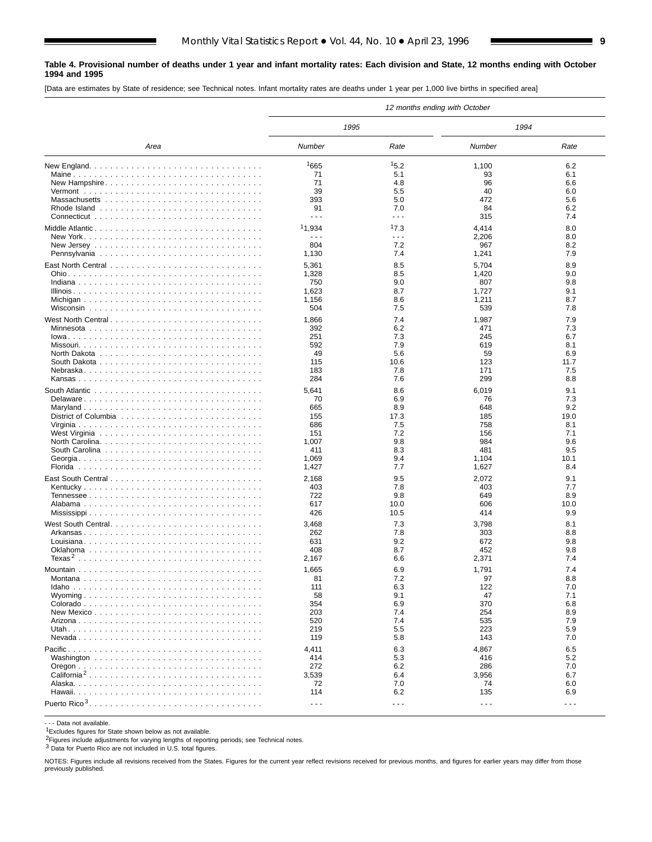#### **Table 4. Provisional number of deaths under 1 year and infant mortality rates: Each division and State, 12 months ending with October 1994 and 1995**

[Data are estimates by State of residence; see Technical notes. Infant mortality rates are deaths under 1 year per 1,000 live births in specified area]

|                         |                      |                      | 12 months ending with October |                      |
|-------------------------|----------------------|----------------------|-------------------------------|----------------------|
|                         | 1995                 |                      | 1994                          |                      |
| Area                    | Number               | Rate                 | Number                        | Rate                 |
|                         | 1665                 | 15.2                 | 1,100                         | 6.2                  |
|                         | 71                   | 5.1                  | 93                            | 6.1                  |
| New Hampshire           | 71                   | 4.8                  | 96                            | 6.6                  |
|                         | 39                   | 5.5                  | 40                            | 6.0                  |
|                         | 393                  | 5.0                  | 472                           | 5.6                  |
|                         | 91                   | 7.0                  | 84                            | 6.2                  |
|                         | $- - -$              | $- - -$              | 315                           | 7.4                  |
|                         | 11,934               | 17.3                 | 4,414                         | 8.0                  |
|                         | $- - -$              | $- - -$              | 2,206                         | 8.0                  |
|                         | 804                  | 7.2                  | 967                           | 8.2                  |
|                         | 1,130                | 7.4                  | 1,241                         | 7.9                  |
|                         | 5,361                | 8.5                  | 5,704                         | 8.9                  |
|                         | 1,328                | 8.5                  | 1,420                         | 9.0                  |
|                         | 750                  | 9.0                  | 807                           | 9.8                  |
|                         | 1,623                | 8.7                  | 1,727                         | 9.1                  |
|                         | 1,156                | 8.6                  | 1,211                         | 8.7                  |
|                         | 504                  | 7.5                  | 539                           | 7.8                  |
| West North Central      | 1,866                | 7.4                  | 1,987                         | 7.9                  |
|                         | 392                  | 6.2                  | 471                           | 7.3                  |
|                         | 251                  | 7.3                  | 245                           | 6.7                  |
|                         | 592                  | 7.9                  | 619                           | 8.1                  |
|                         | 49                   | 5.6                  | 59                            | 6.9                  |
|                         | 115                  | 10.6                 | 123                           | 11.7                 |
|                         | 183                  | 7.8                  | 171                           | 7.5                  |
|                         | 284                  | 7.6                  | 299                           | 8.8                  |
|                         | 5,641                | 8.6                  | 6,019                         | 9.1                  |
| Delaware                | 70                   | 6.9                  | 76                            | 7.3                  |
| Maryland                | 665                  | 8.9                  | 648                           | 9.2                  |
|                         | 155                  | 17.3                 | 185                           | 19.0                 |
|                         | 686                  | 7.5                  | 758                           | 8.1                  |
|                         | 151                  | 7.2                  | 156                           | 7.1                  |
|                         | 1,007                | 9.8                  | 984                           | 9.6                  |
|                         | 411                  | 8.3                  | 481                           | 9.5                  |
|                         | 1,069                | 9.4                  | 1,104                         | 10.1                 |
|                         | 1,427                | 7.7                  | 1,627                         | 8.4                  |
|                         | 2,168                | 9.5                  | 2,072                         | 9.1                  |
|                         | 403                  | 7.8                  | 403                           | 7.7                  |
|                         | 722                  | 9.8                  | 649                           | 8.9                  |
|                         | 617                  | 10.0                 | 606                           | 10.0                 |
|                         | 426                  | 10.5                 | 414                           | 9.9                  |
|                         | 3,468                | 7.3                  | 3,798                         | 8.1                  |
|                         | 262                  | 7.8                  | 303                           | 8.8                  |
|                         | 631                  | 9.2                  | 672                           | 9.8                  |
|                         | 408                  | 8.7                  | 452                           | 9.8                  |
|                         | 2,167                | 6.6                  | 2,371                         | 7.4                  |
|                         | 1,665                | 6.9                  | 1,791                         | 7.4                  |
|                         | 81                   | 7.2                  | 97                            | 8.8                  |
|                         | 111                  | 6.3                  | 122                           | 7.0                  |
|                         | 58                   | 9.1                  | 47                            | 7.1                  |
|                         | 354                  | 6.9                  | 370                           | 6.8                  |
|                         | 203                  | 7.4                  | 254                           | 8.9                  |
|                         | 520                  | 7.4                  | 535                           | 7.9                  |
|                         | 219                  | 5.5                  | 223                           | 5.9                  |
|                         | 119                  | 5.8                  | 143                           | 7.0                  |
|                         | 4,411                | 6.3                  | 4,867                         | 6.5                  |
|                         | 414                  | 5.3                  | 416                           | 5.2                  |
|                         | 272                  | 6.2                  | 286                           | 7.0                  |
| California <sup>2</sup> | 3,539                | 6.4                  | 3,956                         | 6.7                  |
|                         | 72                   | 7.0                  | 74                            | 6.0                  |
|                         | 114                  | 6.2                  | 135                           | 6.9                  |
|                         | $\sim$ $\sim$ $\sim$ | $\sim$ $\sim$ $\sim$ | $\sim$ $\sim$ $\sim$          | $\sim$ $\sim$ $\sim$ |

- - - Data not available.

1Excludes figures for State shown below as not available.

2Figures include adjustments for varying lengths of reporting periods; see Technical notes.

3 Data for Puerto Rico are not included in U.S. total figures.

NOTES: Figures include all revisions received from the States. Figures for the current year reflect revisions received for previous months, and figures for earlier years may differ from those previously published.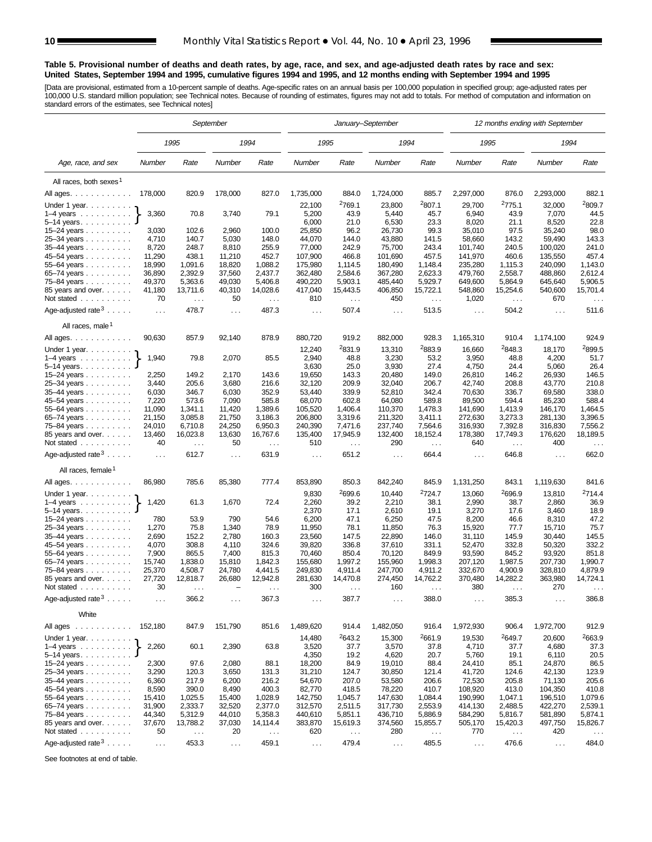#### **Table 5. Provisional number of deaths and death rates, by age, race, and sex, and age-adjusted death rates by race and sex: United States, September 1994 and 1995, cumulative figures 1994 and 1995, and 12 months ending with September 1994 and 1995**

[Data are provisional, estimated from a 10-percent sample of deaths. Age-specific rates on an annual basis per 100,000 population in specified group; age-adjusted rates per<br>100,000 U.S. standard million population; see Tec

|                                        |               |          | September            |                    |                      |                    | January-September    |                    |                      |               | 12 months ending with September |                    |
|----------------------------------------|---------------|----------|----------------------|--------------------|----------------------|--------------------|----------------------|--------------------|----------------------|---------------|---------------------------------|--------------------|
|                                        |               | 1995     |                      | 1994               | 1995                 |                    | 1994                 |                    | 1995                 |               | 1994                            |                    |
| Age, race, and sex                     | Number        | Rate     | Number               | Rate               | Number               | Rate               | Number               | Rate               | Number               | Rate          | Number                          | Rate               |
| All races, both sexes <sup>1</sup>     |               |          |                      |                    |                      |                    |                      |                    |                      |               |                                 |                    |
| All ages.                              | 178,000       | 820.9    | 178,000              | 827.0              | 1,735,000            | 884.0              | 1,724,000            | 885.7              | 2,297,000            | 876.0         | 2,293,000                       | 882.1              |
|                                        |               |          |                      |                    |                      | <sup>2</sup> 769.1 | 23,800               | 2807.1             | 29,700               | 2775.1        | 32,000                          | 2809.7             |
| Under 1 year.<br>$1-4$ years           | 3,360         | 70.8     | 3,740                | 79.1               | 22,100<br>5,200      | 43.9               | 5,440                | 45.7               | 6,940                | 43.9          | 7,070                           | 44.5               |
| $5-14$ years. $\ldots$                 |               |          |                      |                    | 6,000                | 21.0               | 6,530                | 23.3               | 8,020                | 21.1          | 8,520                           | 22.8               |
| 15-24 years                            | 3,030         | 102.6    | 2,960                | 100.0              | 25,850               | 96.2               | 26,730               | 99.3               | 35,010               | 97.5          | 35,240                          | 98.0               |
| 25-34 years                            | 4,710         | 140.7    | 5,030                | 148.0              | 44,070               | 144.0              | 43,880               | 141.5              | 58,660               | 143.2         | 59,490                          | 143.3              |
| 35-44 years                            | 8,720         | 248.7    | 8,810                | 255.9              | 77,000               | 242.9              | 75,700               | 243.4              | 101,740              | 240.5         | 100,020                         | 241.0              |
|                                        | 11,290        | 438.1    | 11,210               | 452.7              | 107,900              | 466.8              | 101,690              | 457.5              | 141,970              | 460.6         | 135,550                         | 457.4              |
| 45-54 years<br>55-64 years             | 18,990        | 1,091.6  | 18,820               | 1,088.2            | 175,980              | 1,114.5            | 180,490              | 1,148.4            | 235,280              | 1,115.3       | 240,090                         | 1,143.0            |
| 65–74 years                            | 36,890        | 2,392.9  | 37,560               | 2,437.7            | 362,480              | 2,584.6            | 367,280              | 2,623.3            | 479,760              | 2,558.7       | 488,860                         | 2,612.4            |
| 75-84 years                            | 49,370        | 5,363.6  | 49,030               | 5,406.8            | 490,220              | 5,903.1            | 485,440              | 5,929.7            | 649,600              | 5,864.9       | 645,640                         | 5,906.5            |
| 85 years and over.                     | 41,180        | 13,711.6 | 40,310               | 14,028.6           | 417,040              | 15,443.5           | 406,850              | 15,722.1           | 548,860              | 15,254.6      | 540,600                         | 15,701.4           |
| Not stated                             | 70            | $\ldots$ | 50                   |                    | 810                  |                    | 450                  | $\cdots$           | 1,020                |               | 670                             |                    |
|                                        |               |          |                      | $\sim$ $\sim$      |                      | $\sim$ $\sim$      |                      |                    |                      | $\cdots$      |                                 | $\sim$ $\sim$      |
| Age-adjusted rate $3 \ldots$ .         | $\ldots$      | 478.7    | $\ldots$             | 487.3              | $\sim 100$           | 507.4              | $\sim 100$           | 513.5              | $\cdots$             | 504.2         | $\sim$ .                        | 511.6              |
| All races, male <sup>1</sup>           |               |          |                      |                    |                      |                    |                      |                    |                      |               |                                 |                    |
| All ages.                              | 90,630        | 857.9    | 92,140               | 878.9              | 880,720              | 919.2              | 882,000              | 928.3              | 1,165,310            | 910.4         | 1,174,100                       | 924.9              |
| Under 1 year.                          |               |          |                      |                    | 12,240               | <sup>2</sup> 831.9 | 13,310               | <sup>2</sup> 883.9 | 16,660               | 2848.3        | 18,170                          | 2899.5             |
| $1-4$ years                            | 1,940         | 79.8     | 2,070                | 85.5               | 2,940                | 48.8               | 3,230                | 53.2               | 3,950                | 48.8          | 4,200                           | 51.7               |
| $5-14$ years                           |               |          |                      |                    | 3,630                | 25.0               | 3,930                | 27.4               | 4,750                | 24.4          | 5,060                           | 26.4               |
| 15–24 years $\ldots$                   | 2,250         | 149.2    | 2,170                | 143.6              | 19,650               | 143.3              | 20,480               | 149.0              | 26,810               | 146.2         | 26,930                          | 146.5              |
| 25-34 years                            | 3,440         | 205.6    | 3,680                | 216.6              | 32,120               | 209.9              | 32,040               | 206.7              | 42,740               | 208.8         | 43,770                          | 210.8              |
| 35-44 years                            | 6,030         | 346.7    | 6,030                | 352.9              | 53,440               | 339.9              | 52,810               | 342.4              | 70,630               | 336.7         | 69,580                          | 338.0              |
| 45-54 years                            | 7,220         | 573.6    | 7,090                | 585.8              | 68,070               | 602.8              | 64,080               | 589.8              | 89,500               | 594.4         | 85,230                          | 588.4              |
| 55-64 years                            | 11,090        | 1,341.1  | 11,420               | 1,389.6<br>3.186.3 | 105,520              | 1,406.4            | 110,370              | 1,478.3            | 141,690              | 1,413.9       | 146,170                         | 1,464.5            |
| 65-74 years                            | 21,150        | 3,085.8  | 21,750               |                    | 206.800              | 3,319.6            | 211,320              | 3,411.1            | 272,630              | 3,273.3       | 281,130                         | 3,396.5            |
| 75-84 years                            | 24,010        | 6,710.8  | 24,250               | 6,950.3            | 240,390              | 7,471.6            | 237,740              | 7,564.6            | 316,930              | 7,392.8       | 316,830                         | 7,556.2            |
| 85 years and over.                     | 13,460        | 16,023.8 | 13,630               | 16,767.6           | 135,400              | 17,945.9           | 132,400              | 18,152.4           | 178,380              | 17,749.3      | 176,620                         | 18,189.5           |
| Not stated                             | 40            | $\sim$ . | 50                   | $\sim$ .           | 510                  | $\ldots$           | 290                  | $\cdots$           | 640                  | $\cdots$      | 400                             | $\sim$ $\sim$      |
| Age-adjusted rate $3 \ldots$ .         | $\sim$ .      | 612.7    | $\sim$ $\sim$        | 631.9              | $\cdots$             | 651.2              | $\sim$ $\sim$        | 664.4              | $\sim$ $\sim$ $\sim$ | 646.8         | $\cdots$                        | 662.0              |
| All races, female <sup>1</sup>         |               |          |                      |                    |                      |                    |                      |                    |                      |               |                                 |                    |
| All ages.                              | 86,980        | 785.6    | 85,380               | 777.4              | 853,890              | 850.3              | 842,240              | 845.9              | 1,131,250            | 843.1         | 1,119,630                       | 841.6              |
| Under 1 year.                          |               |          |                      |                    | 9,830                | <sup>2</sup> 699.6 | 10,440               | <sup>2</sup> 724.7 | 13,060               | 2696.9        | 13,810                          | <sup>2</sup> 714.4 |
| $1-4$ years                            | 1,420         | 61.3     | 1,670                | 72.4               | 2,260                | 39.2               | 2,210                | 38.1               | 2,990                | 38.7          | 2,860                           | 36.9               |
| $5 - 14$ years                         |               |          |                      |                    | 2,370                | 17.1               | 2,610                | 19.1               | 3,270                | 17.6          | 3,460                           | 18.9               |
| 15-24 years                            | 780           | 53.9     | 790                  | 54.6               | 6,200                | 47.1               | 6,250                | 47.5               | 8,200                | 46.6          | 8,310                           | 47.2               |
| 25-34 years                            | 1,270         | 75.8     | 1,340                | 78.9               | 11,950               | 78.1               | 11,850               | 76.3               | 15,920               | 77.7          | 15,710                          | 75.7               |
| 35-44 years                            | 2,690         | 152.2    | 2,780                | 160.3              | 23,560               | 147.5              | 22,890               | 146.0              | 31,110               | 145.9         | 30.440                          | 145.5              |
| 45–54 years                            | 4,070         | 308.8    | 4,110                | 324.6              | 39,820               | 336.8              | 37,610               | 331.1              | 52,470               | 332.8         | 50,320                          | 332.2              |
| 55-64 years                            | 7,900         | 865.5    | 7,400                | 815.3              | 70,460               | 850.4              | 70,120               | 849.9              | 93,590               | 845.2         | 93,920                          | 851.8              |
| 65-74 years                            | 15,740        | 1,838.0  | 15,810               | 1,842.3            | 155,680              | 1,997.2            | 155,960              | 1,998.3            | 207,120              | 1,987.5       | 207,730                         | 1,990.7            |
| 75–84 years                            | 25,370        | 4,508.7  | 24,780               | 4,441.5            | 249,830              | 4,911.4            | 247,700              | 4,911.2            | 332,670              | 4,900.9       | 328,810                         | 4,879.9            |
| 85 years and over.                     | 27,720        | 12,818.7 | 26,680               | 12,942.8           | 281,630              | 14,470.8           | 274,450              | 14,762.2           | 370,480              | 14,282.2      | 363,980                         | 14,724.1           |
| Not stated.<br>designed and control of | 30            |          |                      |                    | 300                  |                    | 160                  |                    | 380                  |               | 270                             |                    |
| Age-adjusted rate $3 \ldots$ .         | $\sim$ $\sim$ | 366.2    | $\cdots$             | 367.3              | $\cdots$             | 387.7              | .                    | 388.0              | $\cdots$             | 385.3         | $\cdots$                        | 386.8              |
| White                                  |               |          |                      |                    |                      |                    |                      |                    |                      |               |                                 |                    |
| All ages                               | 152,180       | 847.9    | 151,790              | 851.6              | 1,489,620            | 914.4              | 1,482,050            | 916.4              | 1,972,930            | 906.4         | 1,972,700                       | 912.9              |
| Under 1 year.                          |               |          |                      |                    | 14,480               | 2643.2             | 15,300               | 2661.9             | 19,530               | 2649.7        | 20,600                          | 2663.9             |
| $1-4$ years                            | 2,260         | 60.1     | 2,390                | 63.8               | 3,520                | 37.7               | 3,570                | 37.8               | 4,710                | 37.7          | 4,680                           | 37.3               |
| $5-14$ years.                          |               |          |                      |                    | 4,350                | 19.2               | 4,620                | 20.7               | 5,760                | 19.1          | 6,110                           | 20.5               |
| 15–24 years                            | 2,300         | 97.6     | 2,080                | 88.1               | 18,200               | 84.9               | 19,010               | 88.4               | 24,410               | 85.1          | 24,870                          | 86.5               |
| 25-34 years                            | 3,290         | 120.3    | 3,650                | 131.3              | 31,210               | 124.7              | 30,850               | 121.4              | 41,720               | 124.6         | 42,130                          | 123.9              |
| 35-44 years                            | 6,360         | 217.9    | 6,200                | 216.2              | 54,670               | 207.0              | 53,580               | 206.6              | 72,530               | 205.8         | 71,130                          | 205.6              |
| 45-54 years                            | 8,590         | 390.0    | 8,490                | 400.3              | 82,770               | 418.5              | 78,220               | 410.7              | 108,920              | 413.0         | 104,350                         | 410.8              |
| 55-64 years                            | 15,410        | 1,025.5  | 15,400               | 1,028.9            | 142,750              | 1,045.7            | 147,630              | 1,084.4            | 190,990              | 1,047.1       | 196,510                         | 1,079.6            |
| 65-74 years                            | 31,900        | 2,333.7  | 32,520               | 2,377.0            | 312,570              | 2,511.5            | 317,730              | 2,553.9            | 414,130              | 2,488.5       | 422,270                         | 2,539.1            |
| 75-84 years                            | 44,340        | 5,312.9  | 44,010               | 5,358.3            | 440,610              | 5,851.1            | 436,710              | 5,886.9            | 584,290              | 5,816.7       | 581,890                         | 5,874.1            |
| 85 years and over.                     | 37,670        | 13,788.2 | 37,030               | 14,114.4           | 383,870              | 15,619.3           | 374,560              | 15,855.7           | 505,170              | 15,420.3      | 497,750                         | 15,826.7           |
| Not stated                             | 50            | $\sim$ . | 20                   | $\ldots$           | 620                  | $\sim$ $\sim$      | 280                  | $\sim$ $\sim$      | 770                  | $\sim$ $\sim$ | 420                             | $\ldots$           |
| Age-adjusted rate $3 \ldots$ .         | $\ldots$      | 453.3    | $\sim$ $\sim$ $\sim$ | 459.1              | $\sim$ $\sim$ $\sim$ | 479.4              | $\sim$ $\sim$ $\sim$ | 485.5              | $\ldots$             | 476.6         | $\cdots$                        | 484.0              |

See footnotes at end of table.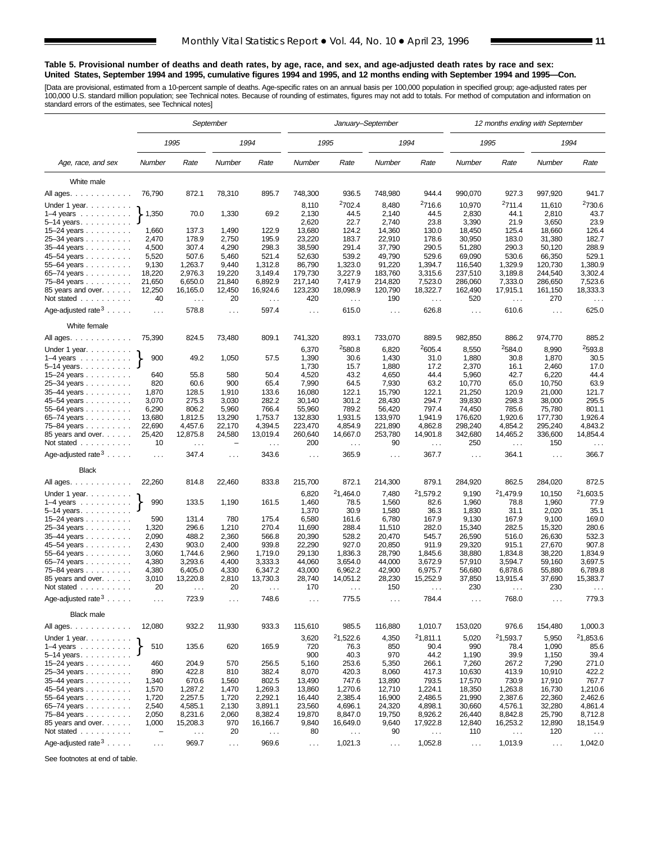#### **Table 5. Provisional number of deaths and death rates, by age, race, and sex, and age-adjusted death rates by race and sex: United States, September 1994 and 1995, cumulative figures 1994 and 1995, and 12 months ending with September 1994 and 1995—Con.**

[Data are provisional, estimated from a 10-percent sample of deaths. Age-specific rates on an annual basis per 100,000 population in specified group; age-adjusted rates per<br>100,000 U.S. standard million population; see Tec

|                                                        |                          |                       | September        |                      |                      | January-September    |                    |                              | 12 months ending with September |                      |                    |                           |  |
|--------------------------------------------------------|--------------------------|-----------------------|------------------|----------------------|----------------------|----------------------|--------------------|------------------------------|---------------------------------|----------------------|--------------------|---------------------------|--|
|                                                        |                          | 1995                  |                  | 1994                 |                      | 1995                 |                    | 1994                         |                                 | 1995                 |                    | 1994                      |  |
| Age, race, and sex                                     | Number                   | Rate                  | Number           | Rate                 | Number               | Rate                 | Number             | Rate                         | Number                          | Rate                 | Number             | Rate                      |  |
| White male                                             |                          |                       |                  |                      |                      |                      |                    |                              |                                 |                      |                    |                           |  |
| All ages.                                              | 76,790                   | 872.1                 | 78,310           | 895.7                | 748,300              | 936.5                | 748,980            | 944.4                        | 990,070                         | 927.3                | 997,920            | 941.7                     |  |
| Under 1 year. $\ldots$                                 |                          |                       |                  |                      | 8,110                | <sup>2</sup> 702.4   | 8,480              | <sup>2</sup> 716.6           | 10,970                          | 2711.4               | 11,610             | <sup>2</sup> 730.6        |  |
| $1-4$ years $\ldots$ $\ldots$ $\ldots$ .               | 1,350                    | 70.0                  | 1,330            | 69.2                 | 2,130                | 44.5                 | 2,140              | 44.5                         | 2,830                           | 44.1                 | 2,810              | 43.7                      |  |
| $5 - 14$ years.                                        |                          |                       |                  |                      | 2,620                | 22.7                 | 2,740              | 23.8                         | 3,390                           | 21.9                 | 3,650              | 23.9                      |  |
| $15 - 24$ years                                        | 1,660                    | 137.3                 | 1,490            | 122.9                | 13,680               | 124.2                | 14,360             | 130.0                        | 18,450                          | 125.4                | 18,660             | 126.4                     |  |
| 25-34 years                                            | 2,470                    | 178.9                 | 2,750            | 195.9                | 23,220               | 183.7                | 22,910             | 178.6                        | 30,950                          | 183.0                | 31,380             | 182.7                     |  |
| 35-44 years                                            | 4,500                    | 307.4                 | 4,290            | 298.3                | 38,590               | 291.4                | 37,790             | 290.5                        | 51,280                          | 290.3                | 50,120             | 288.9                     |  |
| 45-54 years<br>55–64 years $\ldots$                    | 5,520<br>9,130           | 507.6<br>1,263.7      | 5,460<br>9,440   | 521.4<br>1,312.8     | 52,630<br>86,790     | 539.2<br>1,323.0     | 49,790<br>91,220   | 529.6<br>1,394.7             | 69,090<br>116,540               | 530.6<br>1,329.9     | 66,350<br>120,730  | 529.1<br>1,380.9          |  |
| 65-74 years                                            | 18,220                   | 2,976.3               | 19,220           | 3,149.4              | 179,730              | 3,227.9              | 183,760            | 3,315.6                      | 237,510                         | 3,189.8              | 244,540            | 3,302.4                   |  |
| 75-84 years                                            | 21,650                   | 6,650.0               | 21,840           | 6,892.9              | 217,140              | 7,417.9              | 214,820            | 7,523.0                      | 286,060                         | 7,333.0              | 286,650            | 7,523.6                   |  |
| 85 years and over.                                     | 12,250                   | 16,165.0              | 12,450           | 16,924.6             | 123,230              | 18,098.9             | 120,790            | 18,322.7                     | 162,490                         | 17,915.1             | 161,150            | 18,333.3                  |  |
| Not stated                                             | 40                       | $\sim$ $\sim$         | 20               | $\sim$ $\sim$        | 420                  | $\sim$ .             | 190                | $\sim$ $\sim$                | 520                             | $\sim$ $\sim$        | 270                | $\cdots$                  |  |
| Age-adjusted rate $3 \ldots$ .                         | $\sim$ $\sim$ $\sim$     | 578.8                 | $\ldots$         | 597.4                | $\sim$ $\sim$ $\sim$ | 615.0                | $\ldots$           | 626.8                        | $\ldots$                        | 610.6                | $\cdots$           | 625.0                     |  |
| White female                                           |                          |                       |                  |                      |                      |                      |                    |                              |                                 |                      |                    |                           |  |
| All ages.                                              | 75,390                   | 824.5                 | 73,480           | 809.1                | 741,320              | 893.1                | 733,070            | 889.5                        | 982,850                         | 886.2                | 974,770            | 885.2                     |  |
| Under 1 year. $\ldots$                                 | 900                      |                       |                  |                      | 6,370                | <sup>2</sup> 580.8   | 6,820              | 2605.4                       | 8,550                           | 2584.0<br>30.8       | 8,990              | 2593.8                    |  |
| $1-4$ years $\ldots$ $\ldots$ $\ldots$<br>$5-14$ years |                          | 49.2                  | 1,050            | 57.5                 | 1,390<br>1,730       | 30.6<br>15.7         | 1,430<br>1,880     | 31.0<br>17.2                 | 1,880<br>2,370                  | 16.1                 | 1,870<br>2,460     | 30.5<br>17.0              |  |
| 15–24 years                                            | 640                      | 55.8                  | 580              | 50.4                 | 4,520                | 43.2                 | 4,650              | 44.4                         | 5,960                           | 42.7                 | 6,220              | 44.4                      |  |
| 25-34 years                                            | 820                      | 60.6                  | 900              | 65.4                 | 7,990                | 64.5                 | 7,930              | 63.2                         | 10,770                          | 65.0                 | 10,750             | 63.9                      |  |
| 35-44 years                                            | 1,870                    | 128.5                 | 1,910            | 133.6                | 16,080               | 122.1                | 15,790             | 122.1                        | 21,250                          | 120.9                | 21,000             | 121.7                     |  |
| 45-54 years                                            | 3,070                    | 275.3                 | 3,030            | 282.2                | 30,140               | 301.2                | 28,430             | 294.7                        | 39,830                          | 298.3                | 38,000             | 295.5                     |  |
| 55-64 years                                            | 6,290                    | 806.2                 | 5,960            | 766.4                | 55,960               | 789.2                | 56,420             | 797.4                        | 74,450                          | 785.6                | 75,780             | 801.1                     |  |
| 65-74 years<br>75–84 years                             | 13,680<br>22,690         | 1,812.5<br>4,457.6    | 13,290<br>22,170 | 1,753.7<br>4,394.5   | 132,830<br>223,470   | 1,931.5<br>4,854.9   | 133,970<br>221,890 | 1,941.9<br>4,862.8           | 176,620<br>298,240              | 1,920.6<br>4,854.2   | 177,730<br>295,240 | 1,926.4<br>4,843.2        |  |
| 85 years and over.<br>Not stated                       | 25,420<br>10             | 12,875.8<br>$\ddotsc$ | 24,580           | 13,019.4<br>$\ldots$ | 260,640<br>200       | 14,667.0<br>$\cdots$ | 253,780<br>90      | 14,901.8<br>$\cdots$         | 342,680<br>250                  | 14,465.2<br>$\sim$ . | 336,600<br>150     | 14,854.4<br>$\sim$ $\sim$ |  |
| Age-adjusted rate $3 \ldots$ .                         | $\sim$ .                 | 347.4                 | $\sim$ .         | 343.6                | $\sim$ .             | 365.9                | $\sim$ .           | 367.7                        | $\sim$ .                        | 364.1                | $\sim$ $\sim$      | 366.7                     |  |
| <b>Black</b>                                           |                          |                       |                  |                      |                      |                      |                    |                              |                                 |                      |                    |                           |  |
| All ages.                                              | 22,260                   | 814.8                 | 22,460           | 833.8                | 215,700              | 872.1                | 214,300            | 879.1                        | 284,920                         | 862.5                | 284,020            | 872.5                     |  |
| Under 1 year.                                          |                          |                       |                  |                      | 6,820                | 21,464.0             | 7,480              | 21,579.2                     | 9,190                           | 21,479.9             | 10,150             | 21,603.5                  |  |
| $1-4$ years<br>$5 - 14$ years.                         | 990                      | 133.5                 | 1,190            | 161.5                | 1,460<br>1,370       | 78.5<br>30.9         | 1,560<br>1,580     | 82.6<br>36.3                 | 1,960<br>1,830                  | 78.8<br>31.1         | 1,960<br>2,020     | 77.9<br>35.1              |  |
| 15-24 years                                            | 590                      | 131.4                 | 780              | 175.4                | 6,580                | 161.6                | 6,780              | 167.9                        | 9,130                           | 167.9                | 9,100              | 169.0                     |  |
| 25-34 years                                            | 1,320                    | 296.6                 | 1,210            | 270.4                | 11,690               | 288.4                | 11,510             | 282.0                        | 15,340                          | 282.5                | 15,320             | 280.6                     |  |
| 35-44 years                                            | 2,090                    | 488.2                 | 2,360            | 566.8                | 20,390               | 528.2                | 20.470             | 545.7                        | 26,590                          | 516.0                | 26,630             | 532.3                     |  |
| 45–54 years                                            | 2,430                    | 903.0                 | 2,400            | 939.8                | 22,290               | 927.0                | 20,850             | 911.9                        | 29,320                          | 915.1                | 27,670             | 907.8<br>1,834.9          |  |
| 55–64 years<br>65-74 years                             | 3,060<br>4,380           | 1,744.6<br>3,293.6    | 2,960<br>4,400   | 1,719.0<br>3,333.3   | 29,130<br>44,060     | 1,836.3<br>3.654.0   | 28,790<br>44,000   | 1,845.6<br>3,672.9           | 38,880<br>57,910                | 1,834.8<br>3,594.7   | 38,220<br>59.160   | 3,697.5                   |  |
| 75–84 years                                            | 4,380                    | 6,405.0               | 4,330            | 6,347.2              | 43,000               | 6,962.2              | 42,900             | 6,975.7                      | 56,680                          | 6,878.6              | 55,880             | 6,789.8                   |  |
| 85 years and over.                                     | 3,010                    | 13,220.8              | 2,810            | 13,730.3             | 28,740               | 14,051.2             | 28,230             | 15,252.9                     | 37,850                          | 13,915.4             | 37,690             | 15,383.7                  |  |
| Not stated $\ldots \ldots \ldots$                      | 20                       | $\cdots$              | 20               | $\cdots$             | 170                  | $\ldots$             | 150                | .                            | 230                             | $\ldots$             | 230                |                           |  |
| Age-adjusted rate $3 \ldots$ .                         | $\ldots$                 | 723.9                 | $\sim$ $\sim$    | 748.6                | $\sim$ $\sim$        | 775.5                | $\sim$ .           | 784.4                        | $\sim$ $\sim$                   | 768.0                | $\sim$ $\sim$      | 779.3                     |  |
| <b>Black male</b>                                      |                          |                       |                  |                      |                      |                      |                    |                              |                                 |                      |                    |                           |  |
| All ages.                                              | 12,080                   | 932.2                 | 11,930           | 933.3                | 115,610              | 985.5                | 116,880            | 1,010.7                      | 153,020                         | 976.6                | 154,480            | 1,000.3                   |  |
| Under 1 year.<br>1–4 years $\}$                        | 510                      | 135.6                 | 620              | 165.9                | 3,620<br>720         | 21,522.6<br>76.3     | 4,350<br>850       | <sup>2</sup> 1,811.1<br>90.4 | 5,020<br>990                    | 21,593.7<br>78.4     | 5,950<br>1,090     | 21,853.6<br>85.6          |  |
| $5-14$ years.                                          |                          |                       |                  |                      | 900                  | 40.3                 | 970                | 44.2                         | 1,190                           | 39.9                 | 1,150              | 39.4                      |  |
| 15-24 years                                            | 460                      | 204.9                 | 570              | 256.5                | 5,160                | 253.6                | 5,350              | 266.1                        | 7,260                           | 267.2                | 7,290              | 271.0                     |  |
| $25 - 34$ years<br>35-44 years                         | 890<br>1,340             | 422.8<br>670.6        | 810<br>1,560     | 382.4<br>802.5       | 8,070<br>13,490      | 420.3<br>747.6       | 8,060<br>13,890    | 417.3<br>793.5               | 10,630<br>17,570                | 413.9<br>730.9       | 10,910<br>17,910   | 422.2<br>767.7            |  |
| 45-54 years                                            | 1,570                    | 1,287.2               | 1,470            | 1,269.3              | 13,860               | 1,270.6              | 12,710             | 1,224.1                      | 18,350                          | 1,263.8              | 16,730             | 1,210.6                   |  |
| $55 - 64$ years                                        | 1,720                    | 2,257.5               | 1,720            | 2,292.1              | 16,440               | 2,385.4              | 16,900             | 2,486.5                      | 21,990                          | 2,387.6              | 22,360             | 2,462.6                   |  |
| 65-74 years                                            | 2,540                    | 4,585.1               | 2,130            | 3,891.1              | 23,560               | 4,696.1              | 24,320             | 4,898.1                      | 30,660                          | 4,576.1              | 32,280             | 4,861.4                   |  |
| 75-84 years                                            | 2,050                    | 8,231.6               | 2,060            | 8,382.4              | 19,870               | 8,847.0              | 19,750             | 8,926.2                      | 26,440                          | 8,842.8              | 25,790             | 8,712.8                   |  |
| 85 years and over.                                     | 1,000                    | 15,208.3              | 970              | 16,166.7             | 9,840                | 16,649.0             | 9,640              | 17,922.8                     | 12,840                          | 16,253.2             | 12,890             | 18,154.9                  |  |
| Not stated                                             | $\overline{\phantom{a}}$ | $\cdots$              | 20               | $\ldots$             | 80                   | $\sim$ $\sim$        | 90                 | $\sim$ $\sim$                | 110                             | $\sim$ $\sim$        | 120                | $\sim$ $\sim$             |  |
| Age-adjusted rate $3 \ldots$ .                         | $\sim 100$               | 969.7                 | $\sim$           | 969.6                | $\sim$ $\sim$        | 1,021.3              | $\sim$             | 1,052.8                      | $\sim$ $\sim$                   | 1,013.9              | $\sim$ $\sim$      | 1,042.0                   |  |

See footnotes at end of table.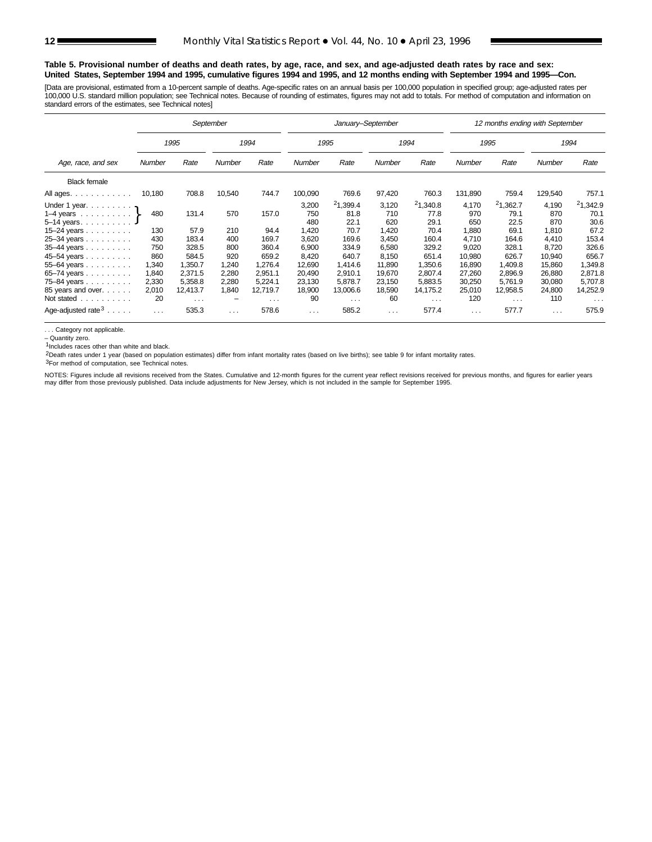#### **Table 5. Provisional number of deaths and death rates, by age, race, and sex, and age-adjusted death rates by race and sex: United States, September 1994 and 1995, cumulative figures 1994 and 1995, and 12 months ending with September 1994 and 1995—Con.**

[Data are provisional, estimated from a 10-percent sample of deaths. Age-specific rates on an annual basis per 100,000 population in specified group; age-adjusted rates per 100,000 U.S. standard million population; see Technical notes. Because of rounding of estimates, figures may not add to totals. For method of computation and information on standard errors of the estimates, see Technical notes]

|                                                                                  |                | September            |                |                     |                     | January-September        |                     |                          |                     | 12 months ending with September |                     |                          |
|----------------------------------------------------------------------------------|----------------|----------------------|----------------|---------------------|---------------------|--------------------------|---------------------|--------------------------|---------------------|---------------------------------|---------------------|--------------------------|
|                                                                                  |                | 1995                 |                | 1994                |                     | 1995                     |                     | 1994                     |                     | 1995                            |                     | 1994                     |
| Age, race, and sex                                                               | Number         | Rate                 | Number         | Rate                | <b>Number</b>       | Rate                     |                     | Rate                     | <b>Number</b>       | Rate                            | Number              | Rate                     |
| <b>Black female</b>                                                              |                |                      |                |                     |                     |                          |                     |                          |                     |                                 |                     |                          |
| All ages.                                                                        | 10,180         | 708.8                | 10,540         | 744.7               | 100,090             | 769.6                    | 97,420              | 760.3                    | 131,890             | 759.4                           | 129,540             | 757.1                    |
| Under 1 year. $\mathbf{p}$<br>1–4 years $\ldots$ $\ldots$ $\}$<br>$5 - 14$ years | 480            | 131.4                | 570            | 157.0               | 3,200<br>750<br>480 | 21,399.4<br>81.8<br>22.1 | 3,120<br>710<br>620 | 21,340.8<br>77.8<br>29.1 | 4,170<br>970<br>650 | 21,362.7<br>79.1<br>22.5        | 4,190<br>870<br>870 | 21,342.9<br>70.1<br>30.6 |
| 15–24 years $\ldots$<br>$25 - 34$ years                                          | 130<br>430     | 57.9<br>183.4        | 210<br>400     | 94.4<br>169.7       | 1,420<br>3,620      | 70.7<br>169.6            | 1,420<br>3,450      | 70.4<br>160.4            | 1,880<br>4.710      | 69.1<br>164.6                   | 1,810<br>4.410      | 67.2<br>153.4            |
| $35-44$ years                                                                    | 750<br>860     | 328.5<br>584.5       | 800<br>920     | 360.4<br>659.2      | 6,900<br>8,420      | 334.9<br>640.7           | 6,580<br>8,150      | 329.2<br>651.4           | 9,020<br>10,980     | 328.1<br>626.7                  | 8,720<br>10,940     | 326.6<br>656.7           |
| 45-54 years<br>55-64 years                                                       | 1,340<br>1,840 | 1,350.7<br>2.371.5   | 1,240<br>2,280 | 1,276.4<br>2.951.1  | 12,690<br>20,490    | 1,414.6<br>2.910.1       | 11,890<br>19.670    | 1,350.6<br>2.807.4       | 16,890<br>27,260    | 1,409.8<br>2.896.9              | 15,860<br>26,880    | 1,349.8<br>2,871.8       |
| $65 - 74$ years<br>75-84 years<br>85 years and over.                             | 2,330<br>2,010 | 5,358.8<br>12,413.7  | 2,280<br>1,840 | 5.224.1<br>12,719.7 | 23,130<br>18,900    | 5.878.7<br>13,006.6      | 23,150<br>18,590    | 5,883.5<br>14,175.2      | 30,250<br>25,010    | 5,761.9<br>12,958.5             | 30,080<br>24,800    | 5,707.8<br>14,252.9      |
| Not stated                                                                       | 20             | $\sim$ $\sim$ $\sim$ | -              | $\cdots$            | 90                  | $\cdots$                 | 60                  | $\cdots$                 | 120                 | $\sim$ $\sim$ $\sim$            | 110                 | $\sim$ $\sim$ $\sim$     |
| Age-adjusted rate $3 \ldots$ .                                                   | $\cdots$       | 535.3                | $\cdots$       | 578.6               | $\cdots$            | 585.2                    | $\cdots$            | 577.4                    | $\cdots$            | 577.7                           | $\cdots$            | 575.9                    |

. . . Category not applicable.

– Quantity zero.

 $1$ Includes races other than white and black.

2Death rates under 1 year (based on population estimates) differ from infant mortality rates (based on live births); see table 9 for infant mortality rates.

3For method of computation, see Technical notes.

NOTES: Figures include all revisions received from the States. Cumulative and 12-month figures for the current year reflect revisions received for previous months, and figures for earlier years<br>may differ from those previo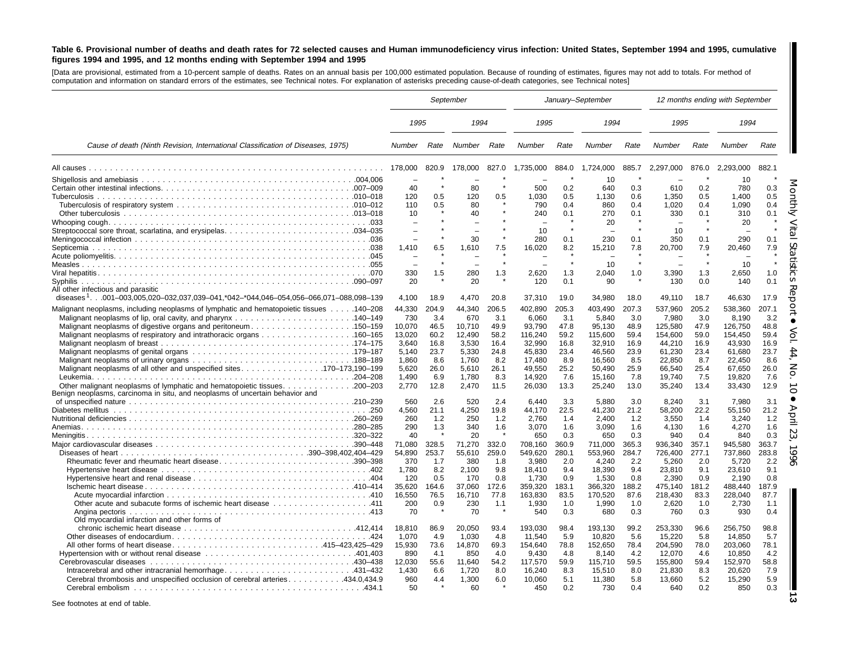#### Table 6. Provisional number of deaths and death rates for 72 selected causes and Human immunodeficiency virus infection: United States, September 1994 and 1995, cumulative figures 1994 and 1995, and 12 months ending with September 1994 and 1995

[Data are provisional, estimated from <sup>a</sup> 10-percent sample of deaths. Rates on an annual basis per 100,000 estimated population. Because of rounding of estimates, figures may not add to totals. For method of computation and information on standard errors of the estimates, see Technical notes. For explanation of asterisks preceding cause-of-death categories, see Technical notes]

|                                                                                                 | September                |                |                  |                |                    | January-September |                    |                |                    | 12 months ending with September |                    |                |
|-------------------------------------------------------------------------------------------------|--------------------------|----------------|------------------|----------------|--------------------|-------------------|--------------------|----------------|--------------------|---------------------------------|--------------------|----------------|
|                                                                                                 | 1995                     |                | 1994             |                | 1995               |                   | 1994               |                | 1995               |                                 | 1994               |                |
| Cause of death (Ninth Revision, International Classification of Diseases, 1975)                 | Number                   | Rate           | Number           | Rate           | Number             | Rate              | Number             | Rate           | Number             | Rate                            | <b>Number</b>      | Rate           |
|                                                                                                 | 178,000                  | 820.9          | 178,000          | 827.0          | 1,735,000          | 884.0             | 1,724,000          | 885.7          | 2,297,000          | 876.0                           | 2.293.000          | 882.1          |
|                                                                                                 | 40                       |                | 80               |                | 500                | 0.2               | 10<br>640          | 0.3            | 610                |                                 | 10                 | 0.3            |
|                                                                                                 | 120                      | 0.5            | 120              | 0.5            | 1,030              | 0.5               | 1,130              | 0.6            | 1,350              | 0.2<br>0.5                      | 780<br>1,400       | 0.5            |
|                                                                                                 | 110                      | 0.5            | 80               |                | 790                | 0.4               | 860                | 0.4            | 1,020              | 0.4                             | 1,090              | 0.4            |
|                                                                                                 | 10                       |                | 40               |                | 240                | 0.1               | 270                | 0.1            | 330                | 0.1                             | 310                | 0.1            |
|                                                                                                 | $\overline{\phantom{0}}$ |                |                  |                |                    | $\star$           | 20                 |                |                    |                                 | 20                 |                |
|                                                                                                 |                          |                | 30               |                | 10<br>280          | 0.1               | 230                | 0.1            | 10<br>350          | 0.1                             | 290                | 0.1            |
|                                                                                                 | 1.410                    | 6.5            | 1.610            | 7.5            | 16,020             | 8.2               | 15,210             | 7.8            | 20,700             | 7.9                             | 20,460             | 7.9            |
|                                                                                                 |                          |                |                  |                |                    | $\star$           |                    |                |                    |                                 |                    |                |
|                                                                                                 |                          |                |                  |                |                    | $\star$           | 10                 |                |                    | $\star$                         | 10                 | $\star$        |
|                                                                                                 | 330                      | 1.5            | 280              | 1.3            | 2,620              | 1.3               | 2,040              | 1.0            | 3,390              | 1.3                             | 2,650              | 1.0            |
| <b>Syphilis</b><br>All other infectious and parasitic                                           | 20                       |                | 20               |                | 120                | 0.1               | 90                 |                | 130                | 0.0                             | 140                | 0.1            |
| diseases <sup>1</sup> 001-003,005,020-032,037,039-041,*042-*044,046-054,056-066,071-088,098-139 | 4,100                    | 18.9           | 4,470            | 20.8           | 37,310             | 19.0              | 34,980             | 18.0           | 49,110             | 18.7                            | 46,630             | 17.9           |
| Malignant neoplasms, including neoplasms of lymphatic and hematopoietic tissues 140–208         | 44,330                   | 204.9          | 44,340           | 206.5          | 402.890            | 205.3             | 403,490            | 207.3          | 537,960            | 205.2                           | 538,360            | 207.1          |
|                                                                                                 | 730                      | 3.4            | 670              | 3.1            | 6,060              | 3.1               | 5,840              | 3.0            | 7,980              | 3.0                             | 8,190              | 3.2            |
| Malignant neoplasms of digestive organs and peritoneum150–159                                   | 10,070                   | 46.5           | 10,710           | 49.9           | 93,790             | 47.8              | 95,130             | 48.9           | 125,580            | 47.9                            | 126,750            | 48.8           |
|                                                                                                 | 13,020                   | 60.2           | 12,490           | 58.2           | 116,240            | 59.2              | 115,600            | 59.4           | 154,600            | 59.0                            | 154,450            | 59.4           |
|                                                                                                 | 3,640<br>5,140           | 16.8<br>23.7   | 3,530<br>5,330   | 16.4<br>24.8   | 32,990<br>45,830   | 16.8<br>23.4      | 32,910<br>46,560   | 16.9<br>23.9   | 44,210<br>61,230   | 16.9<br>23.4                    | 43,930<br>61,680   | 16.9<br>23.7   |
|                                                                                                 | 1,860                    | 8.6            | 1,760            | 8.2            | 17,480             | 8.9               | 16,560             | 8.5            | 22,850             | 8.7                             | 22,450             | 8.6            |
| 199–173,190 Malignant neoplasms of all other and unspecified sites. 170–173,190                 | 5,620                    | 26.0           | 5,610            | 26.1           | 49,550             | 25.2              | 50,490             | 25.9           | 66,540             | 25.4                            | 67,650             | 26.0           |
|                                                                                                 | 1.490                    | 6.9            | 1.780            | 8.3            | 14.920             | 7.6               | 15,160             | 7.8            | 19,740             | 7.5                             | 19,820             | 7.6            |
| Other malignant neoplasms of lymphatic and hematopoietic tissues<br>200–203                     | 2.770                    | 12.8           | 2.470            | 11.5           | 26,030             | 13.3              | 25,240             | 13.0           | 35,240             | 13.4                            | 33,430             | 12.9           |
| Benign neoplasms, carcinoma in situ, and neoplasms of uncertain behavior and                    | 560                      | 2.6            | 520              | 2.4            | 6.440              | 3.3               | 5.880              | 3.0            | 8,240              | 3.1                             | 7,980              | 3.1            |
|                                                                                                 | 4,560                    | 21.1           | 4,250            | 19.8           | 44,170             | 22.5              | 41,230             | 21.2           | 58,200             | 22.2                            | 55,150             | 21.2           |
|                                                                                                 | 260                      | 1.2            | 250              | 1.2            | 2.760              | 1.4               | 2.400              | 1.2            | 3,550              | 1.4                             | 3,240              | 1.2            |
|                                                                                                 | 290                      | 1.3            | 340              | 1.6            | 3,070              | 1.6               | 3,090              | 1.6            | 4,130              | 1.6                             | 4,270              | 1.6            |
|                                                                                                 | 40                       |                | 20               |                | 650                | 0.3               | 650                | 0.3            | 940                | 0.4                             | 840                | 0.3            |
|                                                                                                 | 71,080<br>54,890         | 328.5<br>253.7 | 71,270<br>55,610 | 332.0<br>259.0 | 708,160<br>549,620 | 360.9<br>280.1    | 711,000<br>553,960 | 365.3<br>284.7 | 936,340<br>726,400 | 357.1<br>277.1                  | 945,580<br>737,860 | 363.7<br>283.8 |
| Rheumatic fever and rheumatic heart disease390–398                                              | 370                      | 1.7            | 380              | 1.8            | 3,980              | 2.0               | 4,240              | 2.2            | 5,260              | 2.0                             | 5,720              | 2.2            |
|                                                                                                 | 1.780                    | 8.2            | 2.100            | 9.8            | 18,410             | 9.4               | 18,390             | 9.4            | 23,810             | 9.1                             | 23,610             | 9.1            |
|                                                                                                 | 120                      | 0.5            | 170              | 0.8            | 1,730              | 0.9               | 1,530              | 0.8            | 2,390              | 0.9                             | 2,190              | 0.8            |
|                                                                                                 | 35,620                   | 164.6          | 37,060           | 172.6          | 359,320            | 183.1             | 366,320            | 188.2          | 475,140            | 181.2                           | 488,440            | 187.9          |
|                                                                                                 | 16,550<br>200            | 76.5<br>0.9    | 16,710<br>230    | 77.8<br>1.1    | 163,830<br>1,930   | 83.5<br>1.0       | 170,520<br>1,990   | 87.6<br>1.0    | 218,430<br>2,620   | 83.3<br>1.0                     | 228,040<br>2,730   | 87.7<br>1.1    |
|                                                                                                 | 70                       |                | 70               | $\pmb{\ast}$   | 540                | 0.3               | 680                | 0.3            | 760                | 0.3                             | 930                | 0.4            |
| Old myocardial infarction and other forms of                                                    |                          |                |                  |                |                    |                   |                    |                |                    |                                 |                    |                |
|                                                                                                 | 18,810                   | 86.9           | 20,050           | 93.4           | 193.030            | 98.4              | 193,130            | 99.2           | 253,330            | 96.6                            | 256,750            | 98.8           |
|                                                                                                 | 1.070                    | 4.9            | 1.030            | 4.8            | 11.540             | 5.9               | 10.820             | 5.6            | 15,220             | 5.8                             | 14.850             | 5.7            |
|                                                                                                 | 15,930<br>890            | 73.6<br>4.1    | 14,870<br>850    | 69.3<br>4.0    | 154,640<br>9.430   | 78.8<br>4.8       | 152,650<br>8.140   | 78.4<br>4.2    | 204,590<br>12,070  | 78.0<br>4.6                     | 203,060<br>10.850  | 78.1<br>4.2    |
|                                                                                                 | 12,030                   | 55.6           | 11,640           | 54.2           | 117,570            | 59.9              | 115,710            | 59.5           | 155,800            | 59.4                            | 152,970            | 58.8           |
|                                                                                                 | 1,430                    | 6.6            | 1,720            | 8.0            | 16,240             | 8.3               | 15,510             | 8.0            | 21,830             | 8.3                             | 20,620             | 7.9            |
| Cerebral thrombosis and unspecified occlusion of cerebral arteries434.0,434.9                   | 960                      | 4.4            | 1,300            | 6.0            | 10,060             | 5.1               | 11,380             | 5.8            | 13,660             | 5.2                             | 15,290             | 5.9            |
|                                                                                                 | 50                       |                | 60               |                | 450                | 0.2               | 730                | 0.4            | 640                | 0.2                             | 850                | 0.3            |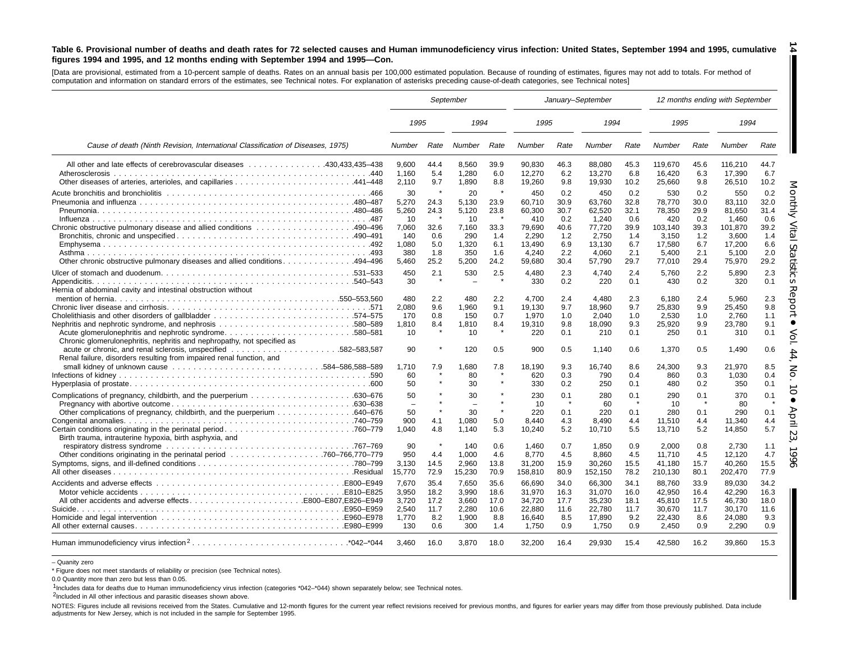#### Table 6. Provisional number of deaths and death rates for 72 selected causes and Human immunodeficiency virus infection: United States, September 1994 and 1995, cumulative figures 1994 and 1995, and 12 months ending with September 1994 and 1995–Con.

[Data are provisional, estimated from <sup>a</sup> 10-percent sample of deaths. Rates on an annual basis per 100,000 estimated population. Because of rounding of estimates, figures may not add to totals. For method of computation and information on standard errors of the estimates, see Technical notes. For explanation of asterisks preceding cause-of-death categories, see Technical notes]

|                                                                                                                                                  | September                                                           |                                                                |                                                                     |                                                                    |                                                                                | January-September                                               |                                                                                  |                                                                 |                                                                                 | 12 months ending with September                                 |                                                                                   |                                                                 |  |
|--------------------------------------------------------------------------------------------------------------------------------------------------|---------------------------------------------------------------------|----------------------------------------------------------------|---------------------------------------------------------------------|--------------------------------------------------------------------|--------------------------------------------------------------------------------|-----------------------------------------------------------------|----------------------------------------------------------------------------------|-----------------------------------------------------------------|---------------------------------------------------------------------------------|-----------------------------------------------------------------|-----------------------------------------------------------------------------------|-----------------------------------------------------------------|--|
|                                                                                                                                                  | 1995                                                                |                                                                | 1994                                                                |                                                                    | 1995                                                                           |                                                                 | 1994                                                                             |                                                                 | 1995                                                                            |                                                                 | 1994                                                                              |                                                                 |  |
| Cause of death (Ninth Revision, International Classification of Diseases, 1975)                                                                  | Number                                                              | Rate                                                           | Number                                                              | Rate                                                               | <b>Number</b>                                                                  | Rate                                                            | Number                                                                           | Rate                                                            | Number                                                                          | Rate                                                            | Number                                                                            | Rate                                                            |  |
| All other and late effects of cerebrovascular diseases 430,433,435–438                                                                           | 9.600<br>1.160<br>2,110                                             | 44.4<br>5.4<br>9.7                                             | 8,560<br>1,280<br>1,890                                             | 39.9<br>6.0<br>8.8                                                 | 90.830<br>12,270<br>19,260                                                     | 46.3<br>6.2<br>9.8                                              | 88,080<br>13,270<br>19,930                                                       | 45.3<br>6.8<br>10.2                                             | 119,670<br>16,420<br>25,660                                                     | 45.6<br>6.3<br>9.8                                              | 116,210<br>17,390<br>26,510                                                       | 44.7<br>6.7<br>10.2                                             |  |
| Chronic obstructive pulmonary disease and allied conditions 490-496<br>Other chronic obstructive pulmonary diseases and allied conditions494–496 | 30<br>5,270<br>5,260<br>10<br>7,060<br>140<br>1.080<br>380<br>5,460 | $\,$ $\,$<br>24.3<br>24.3<br>32.6<br>0.6<br>5.0<br>1.8<br>25.2 | 20<br>5,130<br>5,120<br>10<br>7,160<br>290<br>1,320<br>350<br>5,200 | $\rightarrow$<br>23.9<br>23.8<br>33.3<br>1.4<br>6.1<br>1.6<br>24.2 | 450<br>60,710<br>60.300<br>410<br>79,690<br>2.290<br>13.490<br>4,240<br>59,680 | 0.2<br>30.9<br>30.7<br>0.2<br>40.6<br>1.2<br>6.9<br>2.2<br>30.4 | 450<br>63,760<br>62.520<br>1,240<br>77,720<br>2.750<br>13,130<br>4,060<br>57,790 | 0.2<br>32.8<br>32.1<br>0.6<br>39.9<br>1.4<br>6.7<br>2.1<br>29.7 | 530<br>78,770<br>78,350<br>420<br>103,140<br>3.150<br>17,580<br>5,400<br>77,010 | 0.2<br>30.0<br>29.9<br>0.2<br>39.3<br>1.2<br>6.7<br>2.1<br>29.4 | 550<br>83,110<br>81,650<br>1,460<br>101,870<br>3,600<br>17,200<br>5,100<br>75,970 | 0.2<br>32.0<br>31.4<br>0.6<br>39.2<br>1.4<br>6.6<br>2.0<br>29.2 |  |
| Hernia of abdominal cavity and intestinal obstruction without                                                                                    | 450<br>30<br>480                                                    | 2.1<br>2.2                                                     | 530<br>480                                                          | 2.5<br>2.2                                                         | 4,480<br>330<br>4.700                                                          | 2.3<br>0.2<br>2.4                                               | 4.740<br>220<br>4.480                                                            | 2.4<br>0.1<br>2.3                                               | 5.760<br>430<br>6.180                                                           | 2.2<br>0.2<br>2.4                                               | 5,890<br>320<br>5.960                                                             | 2.3<br>0.1<br>2.3                                               |  |
| Chronic glomerulonephritis, nephritis and nephropathy, not specified as                                                                          | 2,080<br>170<br>1,810<br>10                                         | 9.6<br>0.8<br>8.4                                              | 1,960<br>150<br>1,810<br>10                                         | 9.1<br>0.7<br>8.4<br>$\star$                                       | 19,130<br>1,970<br>19,310<br>220                                               | 9.7<br>1.0<br>9.8<br>0.1                                        | 18,960<br>2.040<br>18,090<br>210                                                 | 9.7<br>1.0<br>9.3<br>0.1                                        | 25,830<br>2.530<br>25,920<br>250                                                | 9.9<br>1.0<br>9.9<br>0.1                                        | 25,450<br>2,760<br>23,780<br>310                                                  | 9.8<br>1.1<br>9.1<br>0.1                                        |  |
| Renal failure, disorders resulting from impaired renal function, and                                                                             | 90<br>1.710<br>60<br>50                                             | 7.9                                                            | 120<br>1,680<br>80<br>30                                            | 0.5<br>7.8                                                         | 900<br>18.190<br>620<br>330                                                    | 0.5<br>9.3<br>0.3<br>0.2                                        | 1,140<br>16.740<br>790<br>250                                                    | 0.6<br>8.6<br>0.4<br>0.1                                        | 1.370<br>24.300<br>860<br>480                                                   | 0.5<br>9.3<br>0.3<br>0.2                                        | 1,490<br>21.970<br>1.030<br>350                                                   | 0.6<br>8.5<br>0.4<br>0.1                                        |  |
| 040–676. Other complications of pregnancy, childbirth, and the puerperium 640–676                                                                | 50<br>$\overline{\phantom{m}}$<br>50<br>900<br>1.040                | $\star$<br>4.1<br>4.8                                          | 30<br>$\equiv$<br>30<br>1.080<br>1,140                              | $\star$<br>$\pmb{\ast}$<br>5.0<br>5.3                              | 230<br>10<br>220<br>8.440<br>10,240                                            | 0.1<br>0.1<br>4.3<br>5.2                                        | 280<br>60<br>220<br>8.490<br>10,710                                              | 0.1<br>0.1<br>4.4<br>5.5                                        | 290<br>10<br>280<br>11.510<br>13,710                                            | 0.1<br>0.1<br>4.4<br>5.2                                        | 370<br>80<br>290<br>11.340<br>14,850                                              | 0.1<br>0.1<br>4.4<br>5.7                                        |  |
| Birth trauma, intrauterine hypoxia, birth asphyxia, and                                                                                          | 90<br>950<br>3,130<br>15,770                                        | 4.4<br>14.5<br>72.9                                            | 140<br>1,000<br>2,960<br>15,230                                     | 0.6<br>4.6<br>13.8<br>70.9                                         | 1,460<br>8,770<br>31,200<br>158,810                                            | 0.7<br>4.5<br>15.9<br>80.9                                      | 1,850<br>8,860<br>30,260<br>152,150                                              | 0.9<br>4.5<br>15.5<br>78.2                                      | 2.000<br>11,710<br>41,180<br>210,130                                            | 0.8<br>4.5<br>15.7<br>80.1                                      | 2,730<br>12,120<br>40,260<br>202,470                                              | 1.1<br>4.7<br>15.5<br>77.9                                      |  |
| All other accidents and adverse effectsE800-E807.E826-E949                                                                                       | 7.670<br>3.950<br>3,720<br>2,540<br>1,770<br>130                    | 35.4<br>18.2<br>17.2<br>11.7<br>8.2<br>0.6                     | 7,650<br>3.990<br>3,660<br>2,280<br>1,900<br>300                    | 35.6<br>18.6<br>17.0<br>10.6<br>8.8<br>1.4                         | 66.690<br>31.970<br>34,720<br>22,880<br>16,640<br>1,750                        | 34.0<br>16.3<br>17.7<br>11.6<br>8.5<br>0.9                      | 66,300<br>31.070<br>35,230<br>22,780<br>17,890<br>1,750                          | 34.1<br>16.0<br>18.1<br>11.7<br>9.2<br>0.9                      | 88.760<br>42.950<br>45,810<br>30,670<br>22,430<br>2,450                         | 33.9<br>16.4<br>17.5<br>11.7<br>8.6<br>0.9                      | 89,030<br>42.290<br>46,730<br>30,170<br>24,080<br>2,290                           | 34.2<br>16.3<br>18.0<br>11.6<br>9.3<br>0.9                      |  |
| Human immunodeficiency virus infection <sup>2</sup> *042-*044                                                                                    | 3.460                                                               | 16.0                                                           | 3,870                                                               | 18.0                                                               | 32,200                                                                         | 16.4                                                            | 29,930                                                                           | 15.4                                                            | 42,580                                                                          | 16.2                                                            | 39,860                                                                            | 15.3                                                            |  |

– Quanity zero

\* Figure does not meet standards of reliability or precision (see Technical notes).

0.0 Quantity more than zero but less than 0.05.

1Includes data for deaths due to Human immunodeficiency virus infection (categories \*042–\*044) shown separately below; see Technical notes.

2Included in All other infectious and parasitic diseases shown above.

NOTES: Figures include all revisions received from the States. Cumulative and 12-month figures for the current year reflect revisions received for previous months, and figures for earlier years may differ from those previo adjustments for New Jersey, which is not included in the sample for September 1995.

**14**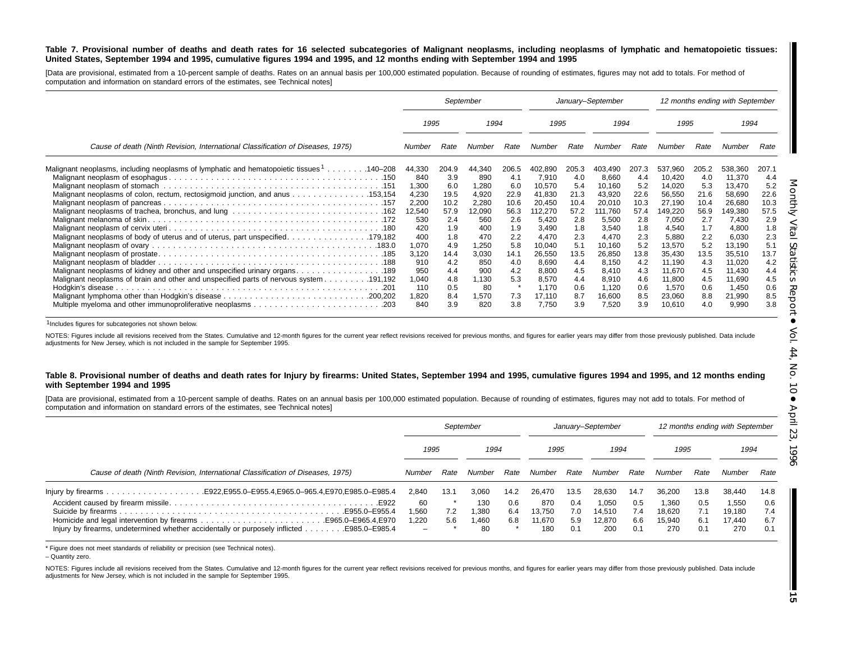#### Table 7. Provisional number of deaths and death rates for 16 selected subcategories of Malignant neoplasms, including neoplasms of lymphatic and hematopoietic tissues: United States, September 1994 and 1995, cumulative figures 1994 and 1995, and 12 months ending with September 1994 and 1995

[Data are provisional, estimated from a 10-percent sample of deaths. Rates on an annual basis per 100,000 estimated population. Because of rounding of estimates, figures may not add to totals. For method of computation and information on standard errors of the estimates, see Technical notes]

|                                                                                                                                                                                                                                                                                                                                                                                                                                                       |                                                                                                                  |                                                                                                      | September                                                                                                        |                                                                                                      |                                                                                                                                     |                                                                                                      | January-September                                                                                                                   |                                                                                                      |                                                                                                                                         |                                                                                                      | 12 months ending with September                                                                                                         |                                                                                                      |
|-------------------------------------------------------------------------------------------------------------------------------------------------------------------------------------------------------------------------------------------------------------------------------------------------------------------------------------------------------------------------------------------------------------------------------------------------------|------------------------------------------------------------------------------------------------------------------|------------------------------------------------------------------------------------------------------|------------------------------------------------------------------------------------------------------------------|------------------------------------------------------------------------------------------------------|-------------------------------------------------------------------------------------------------------------------------------------|------------------------------------------------------------------------------------------------------|-------------------------------------------------------------------------------------------------------------------------------------|------------------------------------------------------------------------------------------------------|-----------------------------------------------------------------------------------------------------------------------------------------|------------------------------------------------------------------------------------------------------|-----------------------------------------------------------------------------------------------------------------------------------------|------------------------------------------------------------------------------------------------------|
|                                                                                                                                                                                                                                                                                                                                                                                                                                                       | 1995                                                                                                             |                                                                                                      | 1994                                                                                                             |                                                                                                      | 1995                                                                                                                                |                                                                                                      | 1994                                                                                                                                |                                                                                                      | 1995                                                                                                                                    |                                                                                                      | 1994                                                                                                                                    |                                                                                                      |
| Cause of death (Ninth Revision, International Classification of Diseases, 1975)                                                                                                                                                                                                                                                                                                                                                                       | Number                                                                                                           | Rate                                                                                                 | Number                                                                                                           | Rate                                                                                                 | Number                                                                                                                              | Rate                                                                                                 | Number                                                                                                                              | Rate                                                                                                 | Number                                                                                                                                  | Rate                                                                                                 | Number                                                                                                                                  | Rate                                                                                                 |
| 140–208. 140–208 Malignant neoplasms of lymphatic and hematopoietic tissues <sup>1</sup> 140–208<br>Malignant neoplasms of colon, rectum, rectosigmoid junction, and anus 153,154<br>Malignant neoplasms of body of uterus and of uterus, part unspecified. 179,182<br>Malignant neoplasms of kidney and other and unspecified urinary organs. 189<br>191,192. Malignant neoplasms of brain and other and unspecified parts of nervous system 191,192 | 44,330<br>840<br>1,300<br>4,230<br>2,200<br>12,540<br>530<br>420<br>400<br>1,070<br>3,120<br>910<br>950<br>1,040 | 204.9<br>3.9<br>6.0<br>19.5<br>10.2<br>57.9<br>2.4<br>1.9<br>1.8<br>4.9<br>14.4<br>4.2<br>4.4<br>4.8 | 44,340<br>890<br>1,280<br>4,920<br>2,280<br>12,090<br>560<br>400<br>470<br>1,250<br>3,030<br>850<br>900<br>1,130 | 206.5<br>4.1<br>6.0<br>22.9<br>10.6<br>56.3<br>2.6<br>1.9<br>2.2<br>5.8<br>14.1<br>4.0<br>4.2<br>5.3 | 402.890<br>7,910<br>10,570<br>41,830<br>20.450<br>112,270<br>5,420<br>3.490<br>4,470<br>10,040<br>26,550<br>8,690<br>8,800<br>8,570 | 205.3<br>4.0<br>5.4<br>21.3<br>10.4<br>57.2<br>2.8<br>1.8<br>2.3<br>5.1<br>13.5<br>4.4<br>4.5<br>4.4 | 403,490<br>8,660<br>10,160<br>43,920<br>20,010<br>111,760<br>5,500<br>3,540<br>4,470<br>10,160<br>26,850<br>8,150<br>8,410<br>8,910 | 207.3<br>4.4<br>5.2<br>22.6<br>10.3<br>57.4<br>2.8<br>1.8<br>2.3<br>5.2<br>13.8<br>4.2<br>4.3<br>4.6 | 537,960<br>10,420<br>14,020<br>56,550<br>27.190<br>149,220<br>7,050<br>4,540<br>5,880<br>13,570<br>35,430<br>11,190<br>11,670<br>11,800 | 205.2<br>4.0<br>5.3<br>21.6<br>10.4<br>56.9<br>2.7<br>1.7<br>2.2<br>5.2<br>13.5<br>4.3<br>4.5<br>4.5 | 538,360<br>11,370<br>13,470<br>58,690<br>26,680<br>149,380<br>7,430<br>4,800<br>6,030<br>13,190<br>35,510<br>11,020<br>11,430<br>11,690 | 207.1<br>4.4<br>5.2<br>22.6<br>10.3<br>57.5<br>2.9<br>1.8<br>2.3<br>5.1<br>13.7<br>4.2<br>4.4<br>4.5 |
|                                                                                                                                                                                                                                                                                                                                                                                                                                                       | 110<br>1,820<br>840                                                                                              | 0.5<br>8.4<br>3.9                                                                                    | 80<br>1,570<br>820                                                                                               | 7.3<br>3.8                                                                                           | 1.170<br>17.110<br>7.750                                                                                                            | 0.6<br>8.7<br>3.9                                                                                    | 1,120<br>16,600<br>7,520                                                                                                            | 0.6<br>8.5<br>3.9                                                                                    | 1,570<br>23,060<br>10,610                                                                                                               | 0.6<br>8.8<br>4.0                                                                                    | 1,450<br>21,990<br>9,990                                                                                                                | 0.6<br>8.5<br>3.8                                                                                    |

1Includes figures for subcategories not shown below.

NOTES: Figures include all revisions received from the States. Cumulative and 12-month figures for the current year reflect revisions received for previous months, and figures for earlier years may differ from those previo adjustments for New Jersey, which is not included in the sample for September 1995.

#### Table 8. Provisional number of deaths and death rates for Injury by firearms: United States, September 1994 and 1995, cumulative figures 1994 and 1995, and 12 months ending **with September 1994 and 1995**

[Data are provisional, estimated from a 10-percent sample of deaths. Rates on an annual basis per 100,000 estimated population. Because of rounding of estimates, figures may not add to totals. For method of computation and information on standard errors of the estimates, see Technical notes]

|                                                                                                                | September                                        |            |                            |                   |                                |                          | January-September                |                          |                                  |                   | 12 months ending with September  |                          |
|----------------------------------------------------------------------------------------------------------------|--------------------------------------------------|------------|----------------------------|-------------------|--------------------------------|--------------------------|----------------------------------|--------------------------|----------------------------------|-------------------|----------------------------------|--------------------------|
|                                                                                                                | 1995                                             |            | 1994                       |                   | 1995                           |                          | 1994                             |                          | 1995                             |                   | 1994                             |                          |
| Cause of death (Ninth Revision, International Classification of Diseases, 1975)                                |                                                  | Rate       | Number                     | Rate              | Number                         | Rate                     | Number                           | Rate                     | Number                           | Rate              | Number                           | Rate                     |
|                                                                                                                | 2.840                                            | 13.1       | 3.060                      | 14.2              | 26.470                         | 13.5                     | 28.630                           | 14.7                     | 36.200                           | 13.8              | 38,440                           | 14.8                     |
| E922.<br>Injury by firearms, undetermined whether accidentally or purposely inflicted $\dots$<br>E985.0-E985.4 | 60<br>1.560<br>1.220<br>$\overline{\phantom{0}}$ | 7.2<br>5.6 | 130<br>.380<br>1,460<br>80 | 0.6<br>6.4<br>6.8 | 870<br>13.750<br>11.670<br>180 | 0.4<br>7.0<br>5.9<br>0.1 | 1.050<br>14.510<br>12.870<br>200 | 0.5<br>7.4<br>6.6<br>0.1 | 1,360<br>18.620<br>15.940<br>270 | 0.5<br>6.1<br>0.1 | 1,550<br>19.180<br>17.440<br>270 | 0.6<br>7.4<br>6.7<br>0.1 |

\* Figure does not meet standards of reliability or precision (see Technical notes).

– Quantity zero.

NOTES: Figures include all revisions received from the States. Cumulative and 12-month figures for the current year reflect revisions received for previous months, and figures for earlier years may differ from those previo adjustments for New Jersey, which is not included in the sample for September 1995.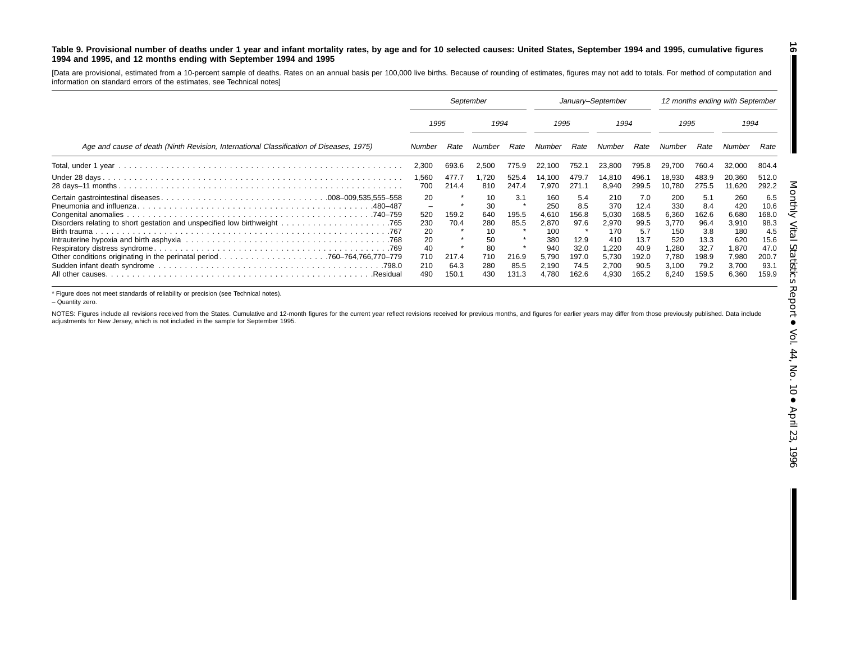#### Table 9. Provisional number of deaths under 1 year and infant mortality rates, by age and for 10 selected causes: United States, September 1994 and 1995, cumulative figures 1994 and 1995, and 12 months ending with September 1994 and 1995

[Data are provisional, estimated from <sup>a</sup> 10-percent sample of deaths. Rates on an annual basis per 100,000 live births. Because of rounding of estimates, figures may not add to totals. For method of computation and information on standard errors of the estimates, see Technical notes]

|                                                                                         | September                                             |                                |                                                        | January-September                     |                                                                     |                                                                   |                                                                       | 12 months ending with September                                     |                                                                       |                                                                     |                                                                       |                                                                      |
|-----------------------------------------------------------------------------------------|-------------------------------------------------------|--------------------------------|--------------------------------------------------------|---------------------------------------|---------------------------------------------------------------------|-------------------------------------------------------------------|-----------------------------------------------------------------------|---------------------------------------------------------------------|-----------------------------------------------------------------------|---------------------------------------------------------------------|-----------------------------------------------------------------------|----------------------------------------------------------------------|
|                                                                                         | 1995                                                  |                                | 1994                                                   |                                       | 1995                                                                |                                                                   | 1994                                                                  |                                                                     | 1995                                                                  |                                                                     | 1994                                                                  |                                                                      |
| Age and cause of death (Ninth Revision, International Classification of Diseases, 1975) | Number                                                | Rate                           | Number                                                 | Rate                                  | Number                                                              | Rate                                                              | Number                                                                | Rate                                                                | Number                                                                | Rate                                                                | Number                                                                | Rate                                                                 |
|                                                                                         | 2,300                                                 | 693.6                          | 2,500                                                  | 775.9                                 | 22,100                                                              | 752.                                                              | 23,800                                                                | 795.8                                                               | 29.700                                                                | 760.4                                                               | 32,000                                                                | 804.4                                                                |
|                                                                                         | 1,560<br>700                                          | 477.7<br>214.4                 | 1.720<br>810                                           | 525.4<br>247.4                        | 14.100<br>7.970                                                     | 479.7<br>271.1                                                    | 14.810<br>8.940                                                       | 496.<br>299.5                                                       | 18,930<br>10.780                                                      | 483.9<br>275.5                                                      | 20,360<br>11,620                                                      | 512.0<br>292.2                                                       |
| .480–487<br>Birth trauma                                                                | 20<br>-<br>520<br>230<br>20<br>20<br>40<br>710<br>210 | 159.2<br>70.4<br>217.4<br>64.3 | 10<br>30<br>640<br>280<br>10<br>50<br>80<br>710<br>280 | 3.1<br>195.5<br>85.5<br>216.9<br>85.5 | 160<br>250<br>4.610<br>2,870<br>100<br>380<br>940<br>5.790<br>2.190 | 5.4<br>8.5<br>156.8<br>97.6<br>大<br>12.9<br>32.0<br>197.0<br>74.5 | 210<br>370<br>5.030<br>2,970<br>170<br>410<br>1.220<br>5.730<br>2,700 | 7.0<br>12.4<br>168.5<br>99.5<br>5.7<br>13.7<br>40.9<br>92.0<br>90.5 | 200<br>330<br>6,360<br>3,770<br>150<br>520<br>1,280<br>7.780<br>3.100 | 5.1<br>8.4<br>162.6<br>96.4<br>3.8<br>13.3<br>32.7<br>198.9<br>79.2 | 260<br>420<br>6,680<br>3,910<br>180<br>620<br>1,870<br>7,980<br>3,700 | 6.5<br>10.6<br>168.0<br>98.3<br>4.5<br>15.6<br>47.0<br>200.7<br>93.1 |
| .Residual                                                                               | 490                                                   | 150.1                          | 430                                                    | 131.3                                 | 4.780                                                               | 162.6                                                             | 4.930                                                                 | 165.2                                                               | 6,240                                                                 | 159.5                                                               | 6,360                                                                 | 159.9                                                                |

\* Figure does not meet standards of reliability or precision (see Technical notes).

– Quantity zero.

NOTES: Figures include all revisions received from the States. Cumulative and 12-month figures for the current year reflect revisions received for previous months, and figures for earlier years may differ from those previo adjustments for New Jersey, which is not included in the sample for September 1995.

**16**

 $\blacksquare$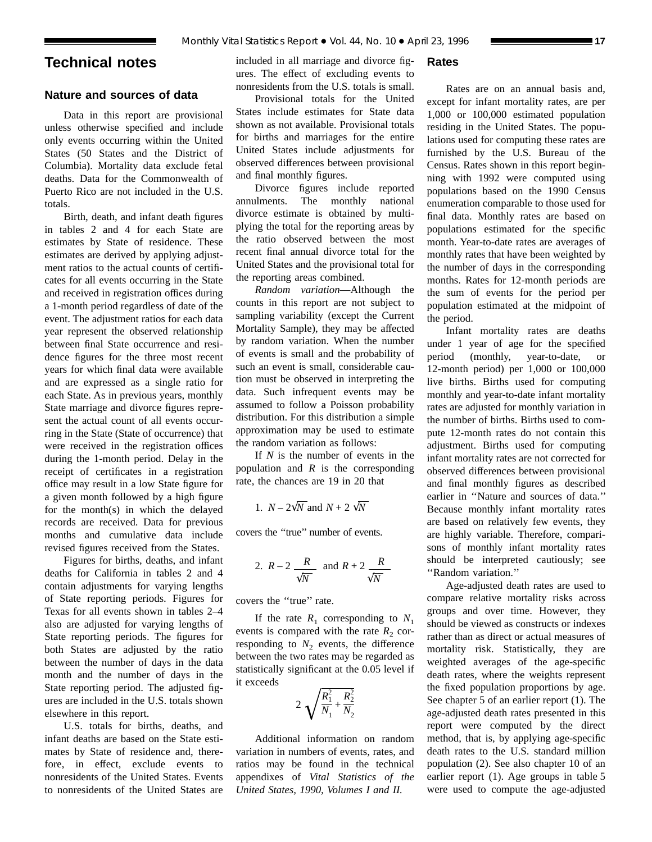# **Technical notes**

# **Nature and sources of data**

Data in this report are provisional unless otherwise specified and include only events occurring within the United States (50 States and the District of Columbia). Mortality data exclude fetal deaths. Data for the Commonwealth of Puerto Rico are not included in the U.S. totals.

Birth, death, and infant death figures in tables 2 and 4 for each State are estimates by State of residence. These estimates are derived by applying adjustment ratios to the actual counts of certificates for all events occurring in the State and received in registration offices during a 1-month period regardless of date of the event. The adjustment ratios for each data year represent the observed relationship between final State occurrence and residence figures for the three most recent years for which final data were available and are expressed as a single ratio for each State. As in previous years, monthly State marriage and divorce figures represent the actual count of all events occurring in the State (State of occurrence) that were received in the registration offices during the 1-month period. Delay in the receipt of certificates in a registration office may result in a low State figure for a given month followed by a high figure for the month(s) in which the delayed records are received. Data for previous months and cumulative data include revised figures received from the States.

Figures for births, deaths, and infant deaths for California in tables 2 and 4 contain adjustments for varying lengths of State reporting periods. Figures for Texas for all events shown in tables 2–4 also are adjusted for varying lengths of State reporting periods. The figures for both States are adjusted by the ratio between the number of days in the data month and the number of days in the State reporting period. The adjusted figures are included in the U.S. totals shown elsewhere in this report.

U.S. totals for births, deaths, and infant deaths are based on the State estimates by State of residence and, therefore, in effect, exclude events to nonresidents of the United States. Events to nonresidents of the United States are included in all marriage and divorce figures. The effect of excluding events to nonresidents from the U.S. totals is small.

# Provisional totals for the United States include estimates for State data shown as not available. Provisional totals for births and marriages for the entire United States include adjustments for observed differences between provisional and final monthly figures.

Divorce figures include reported annulments. The monthly national divorce estimate is obtained by multiplying the total for the reporting areas by the ratio observed between the most recent final annual divorce total for the United States and the provisional total for the reporting areas combined.

*Random variation*—Although the counts in this report are not subject to sampling variability (except the Current Mortality Sample), they may be affected by random variation. When the number of events is small and the probability of such an event is small, considerable caution must be observed in interpreting the data. Such infrequent events may be assumed to follow a Poisson probability distribution. For this distribution a simple approximation may be used to estimate the random variation as follows:

If *N* is the number of events in the population and *R* is the corresponding rate, the chances are 19 in 20 that

1. 
$$
N - 2\sqrt{N}
$$
 and  $N + 2\sqrt{N}$ 

covers the ''true'' number of events.

2. 
$$
R-2
$$
  $\frac{R}{\sqrt{N}}$  and  $R+2$   $\frac{R}{\sqrt{N}}$ 

covers the ''true'' rate.

If the rate  $R_1$  corresponding to  $N_1$ events is compared with the rate  $R_2$  corresponding to  $N_2$  events, the difference between the two rates may be regarded as statistically significant at the 0.05 level if it exceeds

$$
2\sqrt{\frac{R_1^2}{N_1} + \frac{R_2^2}{N_2}}
$$

Additional information on random variation in numbers of events, rates, and ratios may be found in the technical appendixes of *Vital Statistics of the United States, 1990, Volumes I and II.*

# **Rates**

Rates are on an annual basis and, except for infant mortality rates, are per 1,000 or 100,000 estimated population residing in the United States. The populations used for computing these rates are furnished by the U.S. Bureau of the Census. Rates shown in this report beginning with 1992 were computed using populations based on the 1990 Census enumeration comparable to those used for final data. Monthly rates are based on populations estimated for the specific month. Year-to-date rates are averages of monthly rates that have been weighted by the number of days in the corresponding months. Rates for 12-month periods are the sum of events for the period per population estimated at the midpoint of the period.

Infant mortality rates are deaths under 1 year of age for the specified period (monthly, year-to-date, or 12-month period) per 1,000 or 100,000 live births. Births used for computing monthly and year-to-date infant mortality rates are adjusted for monthly variation in the number of births. Births used to compute 12-month rates do not contain this adjustment. Births used for computing infant mortality rates are not corrected for observed differences between provisional and final monthly figures as described earlier in ''Nature and sources of data.'' Because monthly infant mortality rates are based on relatively few events, they are highly variable. Therefore, comparisons of monthly infant mortality rates should be interpreted cautiously; see ''Random variation.''

Age-adjusted death rates are used to compare relative mortality risks across groups and over time. However, they should be viewed as constructs or indexes rather than as direct or actual measures of mortality risk. Statistically, they are weighted averages of the age-specific death rates, where the weights represent the fixed population proportions by age. See chapter 5 of an earlier report (1). The age-adjusted death rates presented in this report were computed by the direct method, that is, by applying age-specific death rates to the U.S. standard million population (2). See also chapter 10 of an earlier report (1). Age groups in table 5 were used to compute the age-adjusted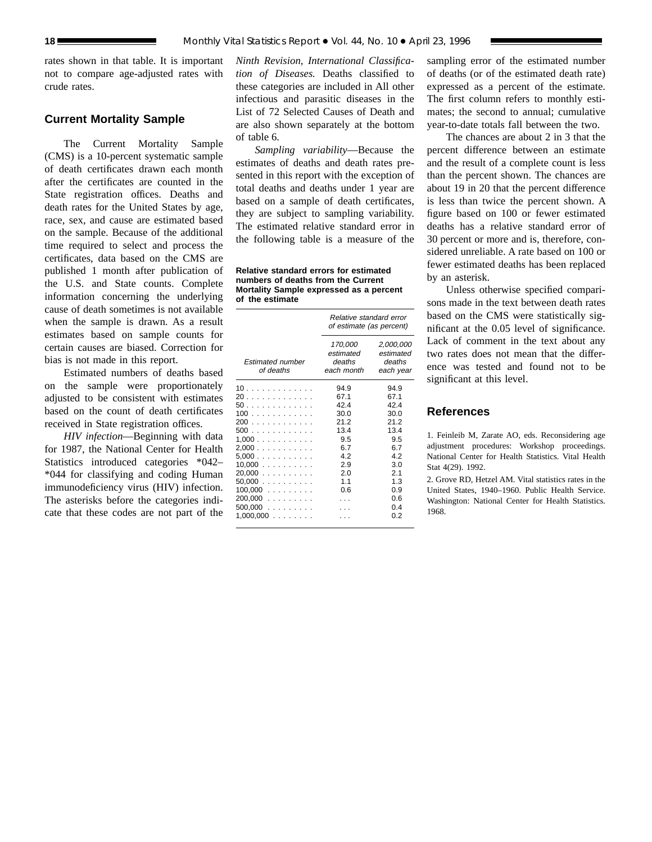rates shown in that table. It is important not to compare age-adjusted rates with crude rates.

# **Current Mortality Sample**

The Current Mortality Sample (CMS) is a 10-percent systematic sample of death certificates drawn each month after the certificates are counted in the State registration offices. Deaths and death rates for the United States by age, race, sex, and cause are estimated based on the sample. Because of the additional time required to select and process the certificates, data based on the CMS are published 1 month after publication of the U.S. and State counts. Complete information concerning the underlying cause of death sometimes is not available when the sample is drawn. As a result estimates based on sample counts for certain causes are biased. Correction for bias is not made in this report.

Estimated numbers of deaths based on the sample were proportionately adjusted to be consistent with estimates based on the count of death certificates received in State registration offices.

*HIV infection*—Beginning with data for 1987, the National Center for Health Statistics introduced categories \*042– \*044 for classifying and coding Human immunodeficiency virus (HIV) infection. The asterisks before the categories indicate that these codes are not part of the

*Ninth Revision, International Classification of Diseases.* Deaths classified to these categories are included in All other infectious and parasitic diseases in the List of 72 Selected Causes of Death and are also shown separately at the bottom of table 6.

*Sampling variability*—Because the estimates of deaths and death rates presented in this report with the exception of total deaths and deaths under 1 year are based on a sample of death certificates, they are subject to sampling variability. The estimated relative standard error in the following table is a measure of the

**Relative standard errors for estimated numbers of deaths from the Current Mortality Sample expressed as a percent of the estimate**

|                                                                                                                         | Relative standard error<br>of estimate (as percent)                                          |                                                                                                     |  |  |
|-------------------------------------------------------------------------------------------------------------------------|----------------------------------------------------------------------------------------------|-----------------------------------------------------------------------------------------------------|--|--|
| <b>Estimated number</b><br>of deaths                                                                                    | 170,000<br>estimated<br>deaths<br>each month                                                 | 2,000,000<br>estimated<br>deaths<br>each year                                                       |  |  |
| 10<br>20<br>50.<br>100<br>200<br>500<br>1.000<br>2,000<br>5,000<br>10,000<br>20,000<br>50.000<br>$100,000$<br>$200,000$ | 94.9<br>67.1<br>42.4<br>30.0<br>21.2<br>13.4<br>9.5<br>6.7<br>4.2<br>2.9<br>2.0<br>11<br>0.6 | 94.9<br>67.1<br>424<br>30.0<br>21.2<br>13.4<br>9.5<br>6.7<br>4.2<br>3.0<br>2.1<br>1.3<br>0.9<br>0.6 |  |  |
| $500,000$<br>1,000,000<br>.                                                                                             |                                                                                              | 04<br>0.2                                                                                           |  |  |

sampling error of the estimated number of deaths (or of the estimated death rate) expressed as a percent of the estimate. The first column refers to monthly estimates; the second to annual; cumulative year-to-date totals fall between the two.

The chances are about 2 in 3 that the percent difference between an estimate and the result of a complete count is less than the percent shown. The chances are about 19 in 20 that the percent difference is less than twice the percent shown. A figure based on 100 or fewer estimated deaths has a relative standard error of 30 percent or more and is, therefore, considered unreliable. A rate based on 100 or fewer estimated deaths has been replaced by an asterisk.

Unless otherwise specified comparisons made in the text between death rates based on the CMS were statistically significant at the 0.05 level of significance. Lack of comment in the text about any two rates does not mean that the difference was tested and found not to be significant at this level.

# **References**

1. Feinleib M, Zarate AO, eds. Reconsidering age adjustment procedures: Workshop proceedings. National Center for Health Statistics. Vital Health Stat 4(29). 1992.

2. Grove RD, Hetzel AM. Vital statistics rates in the United States, 1940–1960. Public Health Service. Washington: National Center for Health Statistics. 1968.